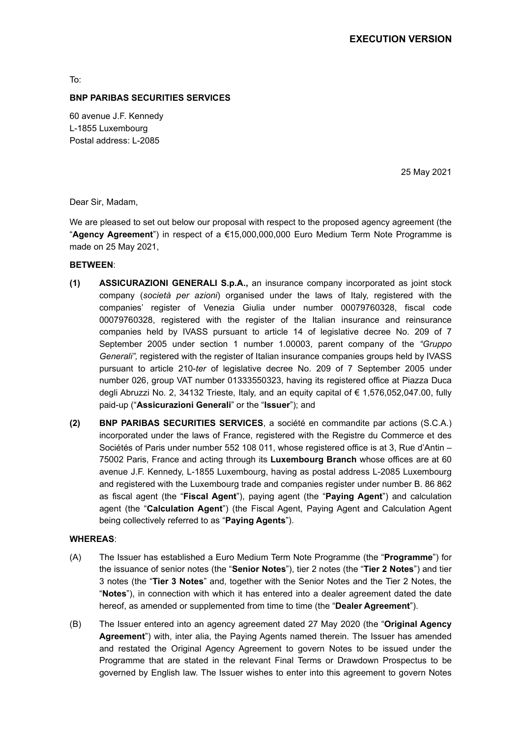To:

#### **BNP PARIBAS SECURITIES SERVICES**

60 avenue J.F. Kennedy L-1855 Luxembourg Postal address: L-2085

25 May 2021

Dear Sir, Madam,

We are pleased to set out below our proposal with respect to the proposed agency agreement (the "**Agency Agreement**") in respect of a €15,000,000,000 Euro Medium Term Note Programme is made on 25 May 2021,

## **BETWEEN**:

- **(1) ASSICURAZIONI GENERALI S.p.A.,** an insurance company incorporated as joint stock company (*società per azioni*) organised under the laws of Italy, registered with the companies' register of Venezia Giulia under number 00079760328, fiscal code 00079760328, registered with the register of the Italian insurance and reinsurance companies held by IVASS pursuant to article 14 of legislative decree No. 209 of 7 September 2005 under section 1 number 1.00003, parent company of the *"Gruppo Generali",* registered with the register of Italian insurance companies groups held by IVASS pursuant to article 210-*ter* of legislative decree No. 209 of 7 September 2005 under number 026, group VAT number 01333550323, having its registered office at Piazza Duca degli Abruzzi No. 2, 34132 Trieste, Italy, and an equity capital of € 1,576,052,047.00, fully paid-up ("**Assicurazioni Generali**" or the "**Issuer**"); and
- **(2) BNP PARIBAS SECURITIES SERVICES**, a société en commandite par actions (S.C.A.) incorporated under the laws of France, registered with the Registre du Commerce et des Sociétés of Paris under number 552 108 011, whose registered office is at 3, Rue d'Antin – 75002 Paris, France and acting through its **Luxembourg Branch** whose offices are at 60 avenue J.F. Kennedy, L-1855 Luxembourg, having as postal address L-2085 Luxembourg and registered with the Luxembourg trade and companies register under number B. 86 862 as fiscal agent (the "**Fiscal Agent**"), paying agent (the "**Paying Agent**") and calculation agent (the "**Calculation Agent**") (the Fiscal Agent, Paying Agent and Calculation Agent being collectively referred to as "**Paying Agents**").

#### **WHEREAS**:

- (A) The Issuer has established a Euro Medium Term Note Programme (the "**Programme**") for the issuance of senior notes (the "**Senior Notes**"), tier 2 notes (the "**Tier 2 Notes**") and tier 3 notes (the "**Tier 3 Notes**" and, together with the Senior Notes and the Tier 2 Notes, the "**Notes**"), in connection with which it has entered into a dealer agreement dated the date hereof, as amended or supplemented from time to time (the "**Dealer Agreement**").
- (B) The Issuer entered into an agency agreement dated 27 May 2020 (the "**Original Agency Agreement**") with, inter alia, the Paying Agents named therein. The Issuer has amended and restated the Original Agency Agreement to govern Notes to be issued under the Programme that are stated in the relevant Final Terms or Drawdown Prospectus to be governed by English law. The Issuer wishes to enter into this agreement to govern Notes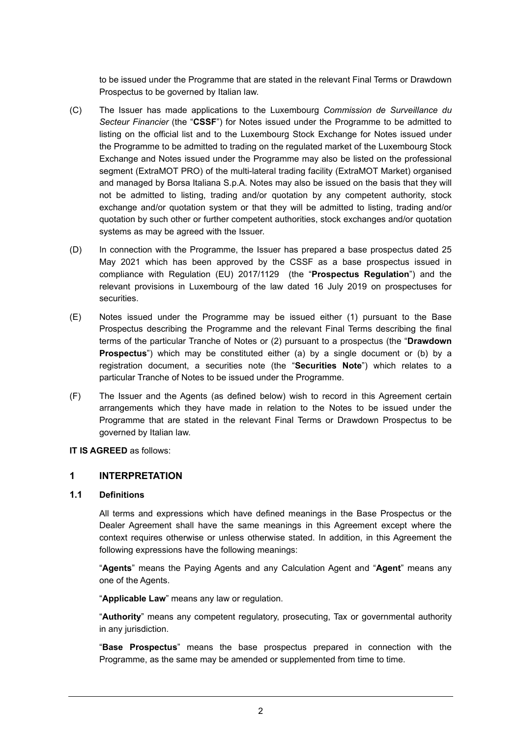to be issued under the Programme that are stated in the relevant Final Terms or Drawdown Prospectus to be governed by Italian law.

- (C) The Issuer has made applications to the Luxembourg *Commission de Surveillance du Secteur Financier* (the "**CSSF**") for Notes issued under the Programme to be admitted to listing on the official list and to the Luxembourg Stock Exchange for Notes issued under the Programme to be admitted to trading on the regulated market of the Luxembourg Stock Exchange and Notes issued under the Programme may also be listed on the professional segment (ExtraMOT PRO) of the multi-lateral trading facility (ExtraMOT Market) organised and managed by Borsa Italiana S.p.A. Notes may also be issued on the basis that they will not be admitted to listing, trading and/or quotation by any competent authority, stock exchange and/or quotation system or that they will be admitted to listing, trading and/or quotation by such other or further competent authorities, stock exchanges and/or quotation systems as may be agreed with the Issuer.
- (D) In connection with the Programme, the Issuer has prepared a base prospectus dated 25 May 2021 which has been approved by the CSSF as a base prospectus issued in compliance with Regulation (EU) 2017/1129 (the "**Prospectus Regulation**") and the relevant provisions in Luxembourg of the law dated 16 July 2019 on prospectuses for securities.
- (E) Notes issued under the Programme may be issued either (1) pursuant to the Base Prospectus describing the Programme and the relevant Final Terms describing the final terms of the particular Tranche of Notes or (2) pursuant to a prospectus (the "**Drawdown Prospectus**") which may be constituted either (a) by a single document or (b) by a registration document, a securities note (the "**Securities Note**") which relates to a particular Tranche of Notes to be issued under the Programme.
- (F) The Issuer and the Agents (as defined below) wish to record in this Agreement certain arrangements which they have made in relation to the Notes to be issued under the Programme that are stated in the relevant Final Terms or Drawdown Prospectus to be governed by Italian law.

## **IT IS AGREED** as follows:

## **1 INTERPRETATION**

#### **1.1 Definitions**

All terms and expressions which have defined meanings in the Base Prospectus or the Dealer Agreement shall have the same meanings in this Agreement except where the context requires otherwise or unless otherwise stated. In addition, in this Agreement the following expressions have the following meanings:

"**Agents**" means the Paying Agents and any Calculation Agent and "**Agent**" means any one of the Agents.

"**Applicable Law**" means any law or regulation.

"**Authority**" means any competent regulatory, prosecuting, Tax or governmental authority in any jurisdiction.

"**Base Prospectus**" means the base prospectus prepared in connection with the Programme, as the same may be amended or supplemented from time to time.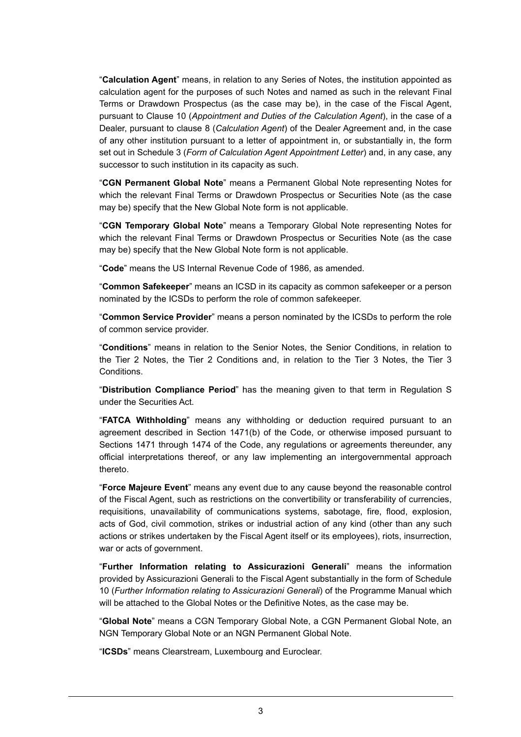"**Calculation Agent**" means, in relation to any Series of Notes, the institution appointed as calculation agent for the purposes of such Notes and named as such in the relevant Final Terms or Drawdown Prospectus (as the case may be), in the case of the Fiscal Agent, pursuant to Clause 10 (*Appointment and Duties of the Calculation Agent*), in the case of a Dealer, pursuant to clause 8 (*Calculation Agent*) of the Dealer Agreement and, in the case of any other institution pursuant to a letter of appointment in, or substantially in, the form set out in Schedule 3 (*Form of Calculation Agent Appointment Letter*) and, in any case, any successor to such institution in its capacity as such.

"**CGN Permanent Global Note**" means a Permanent Global Note representing Notes for which the relevant Final Terms or Drawdown Prospectus or Securities Note (as the case may be) specify that the New Global Note form is not applicable.

"**CGN Temporary Global Note**" means a Temporary Global Note representing Notes for which the relevant Final Terms or Drawdown Prospectus or Securities Note (as the case may be) specify that the New Global Note form is not applicable.

"**Code**" means the US Internal Revenue Code of 1986, as amended.

"**Common Safekeeper**" means an ICSD in its capacity as common safekeeper or a person nominated by the ICSDs to perform the role of common safekeeper.

"**Common Service Provider**" means a person nominated by the ICSDs to perform the role of common service provider.

"**Conditions**" means in relation to the Senior Notes, the Senior Conditions, in relation to the Tier 2 Notes, the Tier 2 Conditions and, in relation to the Tier 3 Notes, the Tier 3 Conditions.

"**Distribution Compliance Period**" has the meaning given to that term in Regulation S under the Securities Act.

"**FATCA Withholding**" means any withholding or deduction required pursuant to an agreement described in Section 1471(b) of the Code, or otherwise imposed pursuant to Sections 1471 through 1474 of the Code, any regulations or agreements thereunder, any official interpretations thereof, or any law implementing an intergovernmental approach thereto.

"**Force Majeure Event**" means any event due to any cause beyond the reasonable control of the Fiscal Agent, such as restrictions on the convertibility or transferability of currencies, requisitions, unavailability of communications systems, sabotage, fire, flood, explosion, acts of God, civil commotion, strikes or industrial action of any kind (other than any such actions or strikes undertaken by the Fiscal Agent itself or its employees), riots, insurrection, war or acts of government.

"**Further Information relating to Assicurazioni Generali**" means the information provided by Assicurazioni Generali to the Fiscal Agent substantially in the form of Schedule 10 (*Further Information relating to Assicurazioni Generali*) of the Programme Manual which will be attached to the Global Notes or the Definitive Notes, as the case may be.

"**Global Note**" means a CGN Temporary Global Note, a CGN Permanent Global Note, an NGN Temporary Global Note or an NGN Permanent Global Note.

"**ICSDs**" means Clearstream, Luxembourg and Euroclear.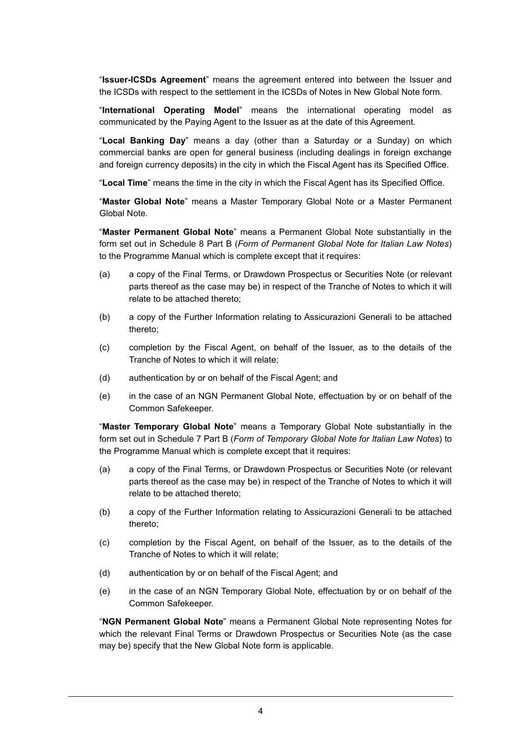"**Issuer-ICSDs Agreement**" means the agreement entered into between the Issuer and the ICSDs with respect to the settlement in the ICSDs of Notes in New Global Note form.

"**International Operating Model**" means the international operating model as communicated by the Paying Agent to the Issuer as at the date of this Agreement.

"**Local Banking Day**" means a day (other than a Saturday or a Sunday) on which commercial banks are open for general business (including dealings in foreign exchange and foreign currency deposits) in the city in which the Fiscal Agent has its Specified Office.

"**Local Time**" means the time in the city in which the Fiscal Agent has its Specified Office.

"**Master Global Note**" means a Master Temporary Global Note or a Master Permanent Global Note.

"**Master Permanent Global Note**" means a Permanent Global Note substantially in the form set out in Schedule 8 Part B (*Form of Permanent Global Note for Italian Law Notes*) to the Programme Manual which is complete except that it requires:

- (a) a copy of the Final Terms, or Drawdown Prospectus or Securities Note (or relevant parts thereof as the case may be) in respect of the Tranche of Notes to which it will relate to be attached thereto;
- (b) a copy of the Further Information relating to Assicurazioni Generali to be attached thereto;
- (c) completion by the Fiscal Agent, on behalf of the Issuer, as to the details of the Tranche of Notes to which it will relate;
- (d) authentication by or on behalf of the Fiscal Agent; and
- (e) in the case of an NGN Permanent Global Note, effectuation by or on behalf of the Common Safekeeper.

"**Master Temporary Global Note**" means a Temporary Global Note substantially in the form set out in Schedule 7 Part B (*Form of Temporary Global Note for Italian Law Notes*) to the Programme Manual which is complete except that it requires:

- (a) a copy of the Final Terms, or Drawdown Prospectus or Securities Note (or relevant parts thereof as the case may be) in respect of the Tranche of Notes to which it will relate to be attached thereto;
- (b) a copy of the Further Information relating to Assicurazioni Generali to be attached thereto;
- (c) completion by the Fiscal Agent, on behalf of the Issuer, as to the details of the Tranche of Notes to which it will relate;
- (d) authentication by or on behalf of the Fiscal Agent; and
- (e) in the case of an NGN Temporary Global Note, effectuation by or on behalf of the Common Safekeeper.

"**NGN Permanent Global Note**" means a Permanent Global Note representing Notes for which the relevant Final Terms or Drawdown Prospectus or Securities Note (as the case may be) specify that the New Global Note form is applicable.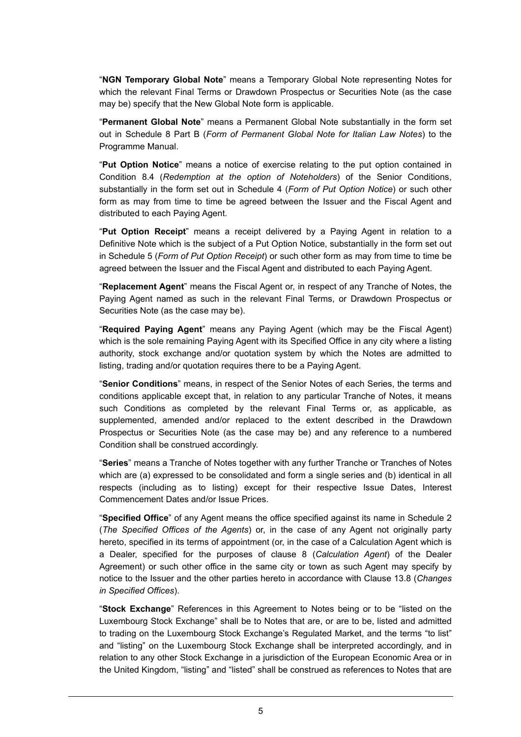"**NGN Temporary Global Note**" means a Temporary Global Note representing Notes for which the relevant Final Terms or Drawdown Prospectus or Securities Note (as the case may be) specify that the New Global Note form is applicable.

"**Permanent Global Note**" means a Permanent Global Note substantially in the form set out in Schedule 8 Part B (*Form of Permanent Global Note for Italian Law Notes*) to the Programme Manual.

"**Put Option Notice**" means a notice of exercise relating to the put option contained in Condition 8.4 (*Redemption at the option of Noteholders*) of the Senior Conditions, substantially in the form set out in Schedule 4 (*Form of Put Option Notice*) or such other form as may from time to time be agreed between the Issuer and the Fiscal Agent and distributed to each Paying Agent.

"**Put Option Receipt**" means a receipt delivered by a Paying Agent in relation to a Definitive Note which is the subject of a Put Option Notice, substantially in the form set out in Schedule 5 (*Form of Put Option Receipt*) or such other form as may from time to time be agreed between the Issuer and the Fiscal Agent and distributed to each Paying Agent.

"**Replacement Agent**" means the Fiscal Agent or, in respect of any Tranche of Notes, the Paying Agent named as such in the relevant Final Terms, or Drawdown Prospectus or Securities Note (as the case may be).

"**Required Paying Agent**" means any Paying Agent (which may be the Fiscal Agent) which is the sole remaining Paying Agent with its Specified Office in any city where a listing authority, stock exchange and/or quotation system by which the Notes are admitted to listing, trading and/or quotation requires there to be a Paying Agent.

"**Senior Conditions**" means, in respect of the Senior Notes of each Series, the terms and conditions applicable except that, in relation to any particular Tranche of Notes, it means such Conditions as completed by the relevant Final Terms or, as applicable, as supplemented, amended and/or replaced to the extent described in the Drawdown Prospectus or Securities Note (as the case may be) and any reference to a numbered Condition shall be construed accordingly.

"**Series**" means a Tranche of Notes together with any further Tranche or Tranches of Notes which are (a) expressed to be consolidated and form a single series and (b) identical in all respects (including as to listing) except for their respective Issue Dates, Interest Commencement Dates and/or Issue Prices.

"**Specified Office**" of any Agent means the office specified against its name in Schedule 2 (*The Specified Offices of the Agents*) or, in the case of any Agent not originally party hereto, specified in its terms of appointment (or, in the case of a Calculation Agent which is a Dealer, specified for the purposes of clause 8 (*Calculation Agent*) of the Dealer Agreement) or such other office in the same city or town as such Agent may specify by notice to the Issuer and the other parties hereto in accordance with Clause 13.8 (*Changes in Specified Offices*).

"**Stock Exchange**" References in this Agreement to Notes being or to be "listed on the Luxembourg Stock Exchange" shall be to Notes that are, or are to be, listed and admitted to trading on the Luxembourg Stock Exchange's Regulated Market, and the terms "to list" and "listing" on the Luxembourg Stock Exchange shall be interpreted accordingly, and in relation to any other Stock Exchange in a jurisdiction of the European Economic Area or in the United Kingdom, "listing" and "listed" shall be construed as references to Notes that are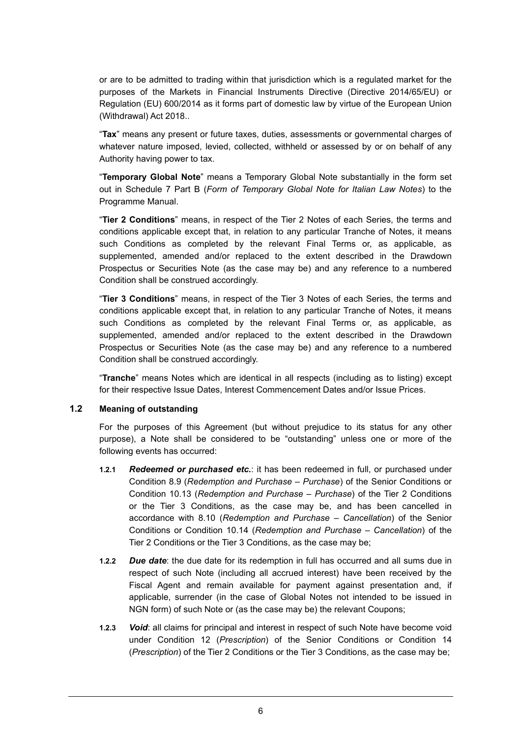or are to be admitted to trading within that jurisdiction which is a regulated market for the purposes of the Markets in Financial Instruments Directive (Directive 2014/65/EU) or Regulation (EU) 600/2014 as it forms part of domestic law by virtue of the European Union (Withdrawal) Act 2018..

"**Tax**" means any present or future taxes, duties, assessments or governmental charges of whatever nature imposed, levied, collected, withheld or assessed by or on behalf of any Authority having power to tax.

"**Temporary Global Note**" means a Temporary Global Note substantially in the form set out in Schedule 7 Part B (*Form of Temporary Global Note for Italian Law Notes*) to the Programme Manual.

"**Tier 2 Conditions**" means, in respect of the Tier 2 Notes of each Series, the terms and conditions applicable except that, in relation to any particular Tranche of Notes, it means such Conditions as completed by the relevant Final Terms or, as applicable, as supplemented, amended and/or replaced to the extent described in the Drawdown Prospectus or Securities Note (as the case may be) and any reference to a numbered Condition shall be construed accordingly.

"**Tier 3 Conditions**" means, in respect of the Tier 3 Notes of each Series, the terms and conditions applicable except that, in relation to any particular Tranche of Notes, it means such Conditions as completed by the relevant Final Terms or, as applicable, as supplemented, amended and/or replaced to the extent described in the Drawdown Prospectus or Securities Note (as the case may be) and any reference to a numbered Condition shall be construed accordingly.

"**Tranche**" means Notes which are identical in all respects (including as to listing) except for their respective Issue Dates, Interest Commencement Dates and/or Issue Prices.

#### **1.2 Meaning of outstanding**

For the purposes of this Agreement (but without prejudice to its status for any other purpose), a Note shall be considered to be "outstanding" unless one or more of the following events has occurred:

- **1.2.1** *Redeemed or purchased etc.*: it has been redeemed in full, or purchased under Condition 8.9 (*Redemption and Purchase – Purchase*) of the Senior Conditions or Condition 10.13 (*Redemption and Purchase – Purchase*) of the Tier 2 Conditions or the Tier 3 Conditions, as the case may be, and has been cancelled in accordance with 8.10 (*Redemption and Purchase – Cancellation*) of the Senior Conditions or Condition 10.14 (*Redemption and Purchase – Cancellation*) of the Tier 2 Conditions or the Tier 3 Conditions, as the case may be;
- **1.2.2** *Due date*: the due date for its redemption in full has occurred and all sums due in respect of such Note (including all accrued interest) have been received by the Fiscal Agent and remain available for payment against presentation and, if applicable, surrender (in the case of Global Notes not intended to be issued in NGN form) of such Note or (as the case may be) the relevant Coupons;
- **1.2.3** *Void*: all claims for principal and interest in respect of such Note have become void under Condition 12 (*Prescription*) of the Senior Conditions or Condition 14 (*Prescription*) of the Tier 2 Conditions or the Tier 3 Conditions, as the case may be;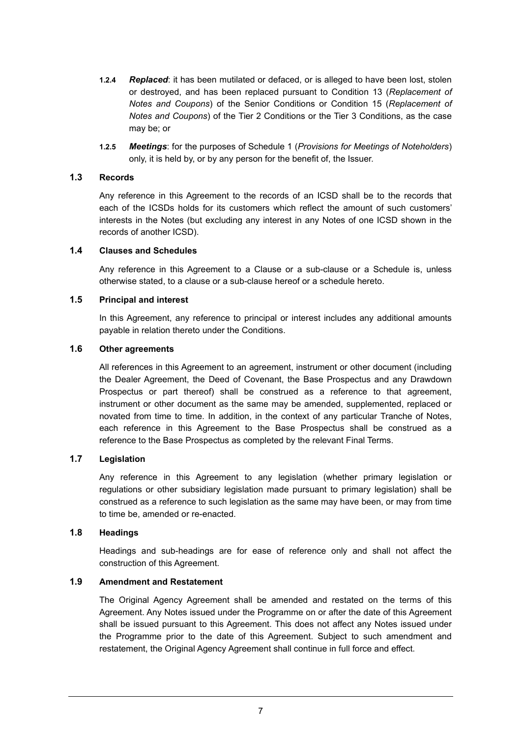- **1.2.4** *Replaced*: it has been mutilated or defaced, or is alleged to have been lost, stolen or destroyed, and has been replaced pursuant to Condition 13 (*Replacement of Notes and Coupons*) of the Senior Conditions or Condition 15 (*Replacement of Notes and Coupons*) of the Tier 2 Conditions or the Tier 3 Conditions, as the case may be; or
- **1.2.5** *Meetings*: for the purposes of Schedule 1 (*Provisions for Meetings of Noteholders*) only, it is held by, or by any person for the benefit of, the Issuer.

## **1.3 Records**

Any reference in this Agreement to the records of an ICSD shall be to the records that each of the ICSDs holds for its customers which reflect the amount of such customers' interests in the Notes (but excluding any interest in any Notes of one ICSD shown in the records of another ICSD).

#### **1.4 Clauses and Schedules**

Any reference in this Agreement to a Clause or a sub-clause or a Schedule is, unless otherwise stated, to a clause or a sub-clause hereof or a schedule hereto.

#### **1.5 Principal and interest**

In this Agreement, any reference to principal or interest includes any additional amounts payable in relation thereto under the Conditions.

## **1.6 Other agreements**

All references in this Agreement to an agreement, instrument or other document (including the Dealer Agreement, the Deed of Covenant, the Base Prospectus and any Drawdown Prospectus or part thereof) shall be construed as a reference to that agreement, instrument or other document as the same may be amended, supplemented, replaced or novated from time to time. In addition, in the context of any particular Tranche of Notes, each reference in this Agreement to the Base Prospectus shall be construed as a reference to the Base Prospectus as completed by the relevant Final Terms.

## **1.7 Legislation**

Any reference in this Agreement to any legislation (whether primary legislation or regulations or other subsidiary legislation made pursuant to primary legislation) shall be construed as a reference to such legislation as the same may have been, or may from time to time be, amended or re-enacted.

#### **1.8 Headings**

Headings and sub-headings are for ease of reference only and shall not affect the construction of this Agreement.

## **1.9 Amendment and Restatement**

The Original Agency Agreement shall be amended and restated on the terms of this Agreement. Any Notes issued under the Programme on or after the date of this Agreement shall be issued pursuant to this Agreement. This does not affect any Notes issued under the Programme prior to the date of this Agreement. Subject to such amendment and restatement, the Original Agency Agreement shall continue in full force and effect.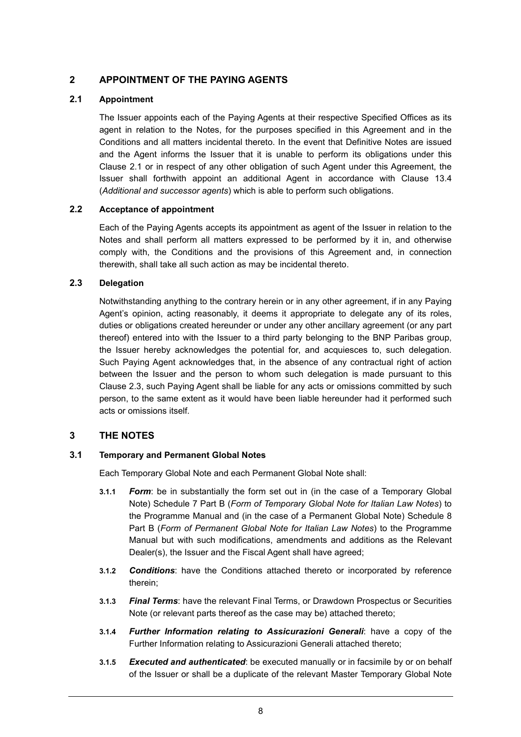# **2 APPOINTMENT OF THE PAYING AGENTS**

## **2.1 Appointment**

The Issuer appoints each of the Paying Agents at their respective Specified Offices as its agent in relation to the Notes, for the purposes specified in this Agreement and in the Conditions and all matters incidental thereto. In the event that Definitive Notes are issued and the Agent informs the Issuer that it is unable to perform its obligations under this Clause 2.1 or in respect of any other obligation of such Agent under this Agreement, the Issuer shall forthwith appoint an additional Agent in accordance with Clause 13.4 (*Additional and successor agents*) which is able to perform such obligations.

## **2.2 Acceptance of appointment**

Each of the Paying Agents accepts its appointment as agent of the Issuer in relation to the Notes and shall perform all matters expressed to be performed by it in, and otherwise comply with, the Conditions and the provisions of this Agreement and, in connection therewith, shall take all such action as may be incidental thereto.

## **2.3 Delegation**

Notwithstanding anything to the contrary herein or in any other agreement, if in any Paying Agent's opinion, acting reasonably, it deems it appropriate to delegate any of its roles, duties or obligations created hereunder or under any other ancillary agreement (or any part thereof) entered into with the Issuer to a third party belonging to the BNP Paribas group, the Issuer hereby acknowledges the potential for, and acquiesces to, such delegation. Such Paying Agent acknowledges that, in the absence of any contractual right of action between the Issuer and the person to whom such delegation is made pursuant to this Clause 2.3, such Paying Agent shall be liable for any acts or omissions committed by such person, to the same extent as it would have been liable hereunder had it performed such acts or omissions itself.

# **3 THE NOTES**

## **3.1 Temporary and Permanent Global Notes**

Each Temporary Global Note and each Permanent Global Note shall:

- **3.1.1** *Form*: be in substantially the form set out in (in the case of a Temporary Global Note) Schedule 7 Part B (*Form of Temporary Global Note for Italian Law Notes*) to the Programme Manual and (in the case of a Permanent Global Note) Schedule 8 Part B (*Form of Permanent Global Note for Italian Law Notes*) to the Programme Manual but with such modifications, amendments and additions as the Relevant Dealer(s), the Issuer and the Fiscal Agent shall have agreed;
- **3.1.2** *Conditions*: have the Conditions attached thereto or incorporated by reference therein;
- **3.1.3** *Final Terms*: have the relevant Final Terms, or Drawdown Prospectus or Securities Note (or relevant parts thereof as the case may be) attached thereto;
- **3.1.4** *Further Information relating to Assicurazioni Generali*: have a copy of the Further Information relating to Assicurazioni Generali attached thereto;
- **3.1.5** *Executed and authenticated*: be executed manually or in facsimile by or on behalf of the Issuer or shall be a duplicate of the relevant Master Temporary Global Note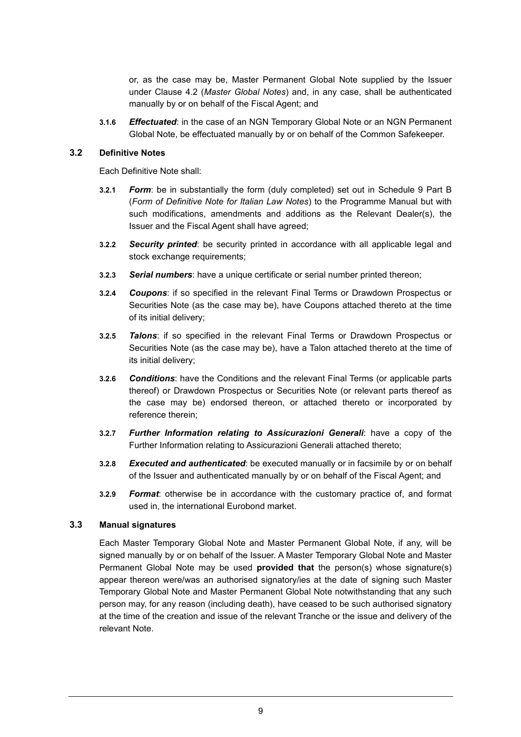or, as the case may be, Master Permanent Global Note supplied by the Issuer under Clause 4.2 (*Master Global Notes*) and, in any case, shall be authenticated manually by or on behalf of the Fiscal Agent; and

**3.1.6** *Effectuated*: in the case of an NGN Temporary Global Note or an NGN Permanent Global Note, be effectuated manually by or on behalf of the Common Safekeeper.

#### **3.2 Definitive Notes**

Each Definitive Note shall:

- **3.2.1** *Form*: be in substantially the form (duly completed) set out in Schedule 9 Part B (*Form of Definitive Note for Italian Law Notes*) to the Programme Manual but with such modifications, amendments and additions as the Relevant Dealer(s), the Issuer and the Fiscal Agent shall have agreed;
- **3.2.2** *Security printed*: be security printed in accordance with all applicable legal and stock exchange requirements;
- **3.2.3** *Serial numbers*: have a unique certificate or serial number printed thereon;
- **3.2.4** *Coupons*: if so specified in the relevant Final Terms or Drawdown Prospectus or Securities Note (as the case may be), have Coupons attached thereto at the time of its initial delivery;
- **3.2.5** *Talons*: if so specified in the relevant Final Terms or Drawdown Prospectus or Securities Note (as the case may be), have a Talon attached thereto at the time of its initial delivery;
- **3.2.6** *Conditions*: have the Conditions and the relevant Final Terms (or applicable parts thereof) or Drawdown Prospectus or Securities Note (or relevant parts thereof as the case may be) endorsed thereon, or attached thereto or incorporated by reference therein;
- **3.2.7** *Further Information relating to Assicurazioni Generali*: have a copy of the Further Information relating to Assicurazioni Generali attached thereto;
- **3.2.8** *Executed and authenticated*: be executed manually or in facsimile by or on behalf of the Issuer and authenticated manually by or on behalf of the Fiscal Agent; and
- **3.2.9** *Format*: otherwise be in accordance with the customary practice of, and format used in, the international Eurobond market.

## **3.3 Manual signatures**

Each Master Temporary Global Note and Master Permanent Global Note, if any, will be signed manually by or on behalf of the Issuer. A Master Temporary Global Note and Master Permanent Global Note may be used **provided that** the person(s) whose signature(s) appear thereon were/was an authorised signatory/ies at the date of signing such Master Temporary Global Note and Master Permanent Global Note notwithstanding that any such person may, for any reason (including death), have ceased to be such authorised signatory at the time of the creation and issue of the relevant Tranche or the issue and delivery of the relevant Note.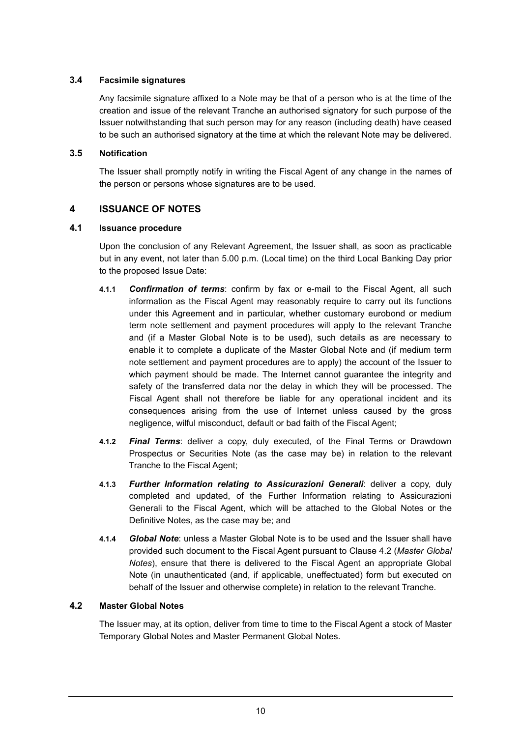## **3.4 Facsimile signatures**

Any facsimile signature affixed to a Note may be that of a person who is at the time of the creation and issue of the relevant Tranche an authorised signatory for such purpose of the Issuer notwithstanding that such person may for any reason (including death) have ceased to be such an authorised signatory at the time at which the relevant Note may be delivered.

## **3.5 Notification**

The Issuer shall promptly notify in writing the Fiscal Agent of any change in the names of the person or persons whose signatures are to be used.

# **4 ISSUANCE OF NOTES**

## **4.1 Issuance procedure**

Upon the conclusion of any Relevant Agreement, the Issuer shall, as soon as practicable but in any event, not later than 5.00 p.m. (Local time) on the third Local Banking Day prior to the proposed Issue Date:

- **4.1.1** *Confirmation of terms*: confirm by fax or e-mail to the Fiscal Agent, all such information as the Fiscal Agent may reasonably require to carry out its functions under this Agreement and in particular, whether customary eurobond or medium term note settlement and payment procedures will apply to the relevant Tranche and (if a Master Global Note is to be used), such details as are necessary to enable it to complete a duplicate of the Master Global Note and (if medium term note settlement and payment procedures are to apply) the account of the Issuer to which payment should be made. The Internet cannot guarantee the integrity and safety of the transferred data nor the delay in which they will be processed. The Fiscal Agent shall not therefore be liable for any operational incident and its consequences arising from the use of Internet unless caused by the gross negligence, wilful misconduct, default or bad faith of the Fiscal Agent;
- **4.1.2** *Final Terms*: deliver a copy, duly executed, of the Final Terms or Drawdown Prospectus or Securities Note (as the case may be) in relation to the relevant Tranche to the Fiscal Agent;
- **4.1.3** *Further Information relating to Assicurazioni Generali*: deliver a copy, duly completed and updated, of the Further Information relating to Assicurazioni Generali to the Fiscal Agent, which will be attached to the Global Notes or the Definitive Notes, as the case may be; and
- **4.1.4** *Global Note*: unless a Master Global Note is to be used and the Issuer shall have provided such document to the Fiscal Agent pursuant to Clause 4.2 (*Master Global Notes*), ensure that there is delivered to the Fiscal Agent an appropriate Global Note (in unauthenticated (and, if applicable, uneffectuated) form but executed on behalf of the Issuer and otherwise complete) in relation to the relevant Tranche.

# **4.2 Master Global Notes**

The Issuer may, at its option, deliver from time to time to the Fiscal Agent a stock of Master Temporary Global Notes and Master Permanent Global Notes.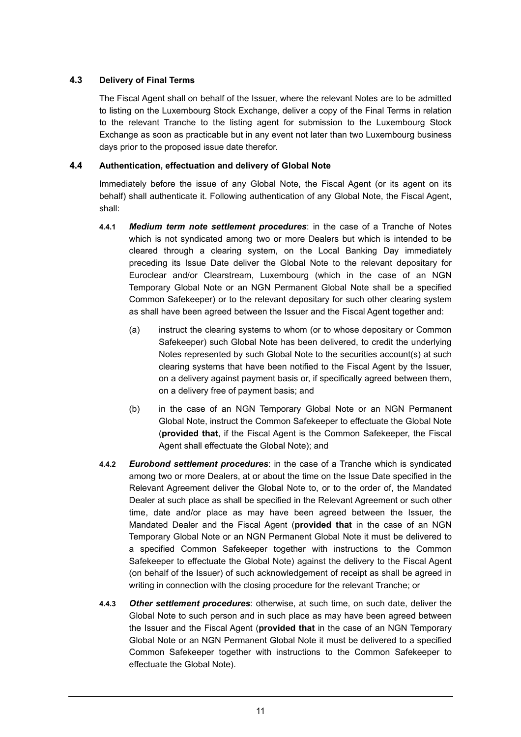## **4.3 Delivery of Final Terms**

The Fiscal Agent shall on behalf of the Issuer, where the relevant Notes are to be admitted to listing on the Luxembourg Stock Exchange, deliver a copy of the Final Terms in relation to the relevant Tranche to the listing agent for submission to the Luxembourg Stock Exchange as soon as practicable but in any event not later than two Luxembourg business days prior to the proposed issue date therefor.

## **4.4 Authentication, effectuation and delivery of Global Note**

Immediately before the issue of any Global Note, the Fiscal Agent (or its agent on its behalf) shall authenticate it. Following authentication of any Global Note, the Fiscal Agent, shall:

- **4.4.1** *Medium term note settlement procedures*: in the case of a Tranche of Notes which is not syndicated among two or more Dealers but which is intended to be cleared through a clearing system, on the Local Banking Day immediately preceding its Issue Date deliver the Global Note to the relevant depositary for Euroclear and/or Clearstream, Luxembourg (which in the case of an NGN Temporary Global Note or an NGN Permanent Global Note shall be a specified Common Safekeeper) or to the relevant depositary for such other clearing system as shall have been agreed between the Issuer and the Fiscal Agent together and:
	- (a) instruct the clearing systems to whom (or to whose depositary or Common Safekeeper) such Global Note has been delivered, to credit the underlying Notes represented by such Global Note to the securities account(s) at such clearing systems that have been notified to the Fiscal Agent by the Issuer, on a delivery against payment basis or, if specifically agreed between them, on a delivery free of payment basis; and
	- (b) in the case of an NGN Temporary Global Note or an NGN Permanent Global Note, instruct the Common Safekeeper to effectuate the Global Note (**provided that**, if the Fiscal Agent is the Common Safekeeper, the Fiscal Agent shall effectuate the Global Note); and
- **4.4.2** *Eurobond settlement procedures*: in the case of a Tranche which is syndicated among two or more Dealers, at or about the time on the Issue Date specified in the Relevant Agreement deliver the Global Note to, or to the order of, the Mandated Dealer at such place as shall be specified in the Relevant Agreement or such other time, date and/or place as may have been agreed between the Issuer, the Mandated Dealer and the Fiscal Agent (**provided that** in the case of an NGN Temporary Global Note or an NGN Permanent Global Note it must be delivered to a specified Common Safekeeper together with instructions to the Common Safekeeper to effectuate the Global Note) against the delivery to the Fiscal Agent (on behalf of the Issuer) of such acknowledgement of receipt as shall be agreed in writing in connection with the closing procedure for the relevant Tranche; or
- **4.4.3** *Other settlement procedures*: otherwise, at such time, on such date, deliver the Global Note to such person and in such place as may have been agreed between the Issuer and the Fiscal Agent (**provided that** in the case of an NGN Temporary Global Note or an NGN Permanent Global Note it must be delivered to a specified Common Safekeeper together with instructions to the Common Safekeeper to effectuate the Global Note).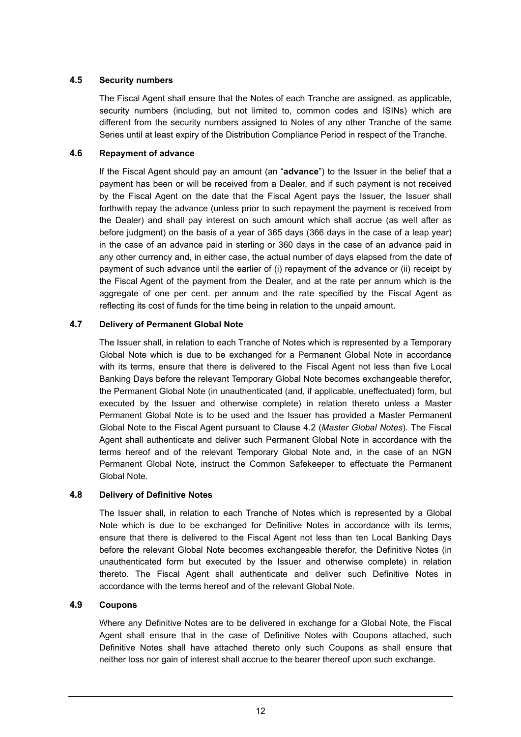## **4.5 Security numbers**

The Fiscal Agent shall ensure that the Notes of each Tranche are assigned, as applicable, security numbers (including, but not limited to, common codes and ISINs) which are different from the security numbers assigned to Notes of any other Tranche of the same Series until at least expiry of the Distribution Compliance Period in respect of the Tranche.

## **4.6 Repayment of advance**

If the Fiscal Agent should pay an amount (an "**advance**") to the Issuer in the belief that a payment has been or will be received from a Dealer, and if such payment is not received by the Fiscal Agent on the date that the Fiscal Agent pays the Issuer, the Issuer shall forthwith repay the advance (unless prior to such repayment the payment is received from the Dealer) and shall pay interest on such amount which shall accrue (as well after as before judgment) on the basis of a year of 365 days (366 days in the case of a leap year) in the case of an advance paid in sterling or 360 days in the case of an advance paid in any other currency and, in either case, the actual number of days elapsed from the date of payment of such advance until the earlier of (i) repayment of the advance or (ii) receipt by the Fiscal Agent of the payment from the Dealer, and at the rate per annum which is the aggregate of one per cent. per annum and the rate specified by the Fiscal Agent as reflecting its cost of funds for the time being in relation to the unpaid amount.

## **4.7 Delivery of Permanent Global Note**

The Issuer shall, in relation to each Tranche of Notes which is represented by a Temporary Global Note which is due to be exchanged for a Permanent Global Note in accordance with its terms, ensure that there is delivered to the Fiscal Agent not less than five Local Banking Days before the relevant Temporary Global Note becomes exchangeable therefor, the Permanent Global Note (in unauthenticated (and, if applicable, uneffectuated) form, but executed by the Issuer and otherwise complete) in relation thereto unless a Master Permanent Global Note is to be used and the Issuer has provided a Master Permanent Global Note to the Fiscal Agent pursuant to Clause 4.2 (*Master Global Notes*). The Fiscal Agent shall authenticate and deliver such Permanent Global Note in accordance with the terms hereof and of the relevant Temporary Global Note and, in the case of an NGN Permanent Global Note, instruct the Common Safekeeper to effectuate the Permanent Global Note.

## **4.8 Delivery of Definitive Notes**

The Issuer shall, in relation to each Tranche of Notes which is represented by a Global Note which is due to be exchanged for Definitive Notes in accordance with its terms, ensure that there is delivered to the Fiscal Agent not less than ten Local Banking Days before the relevant Global Note becomes exchangeable therefor, the Definitive Notes (in unauthenticated form but executed by the Issuer and otherwise complete) in relation thereto. The Fiscal Agent shall authenticate and deliver such Definitive Notes in accordance with the terms hereof and of the relevant Global Note.

## **4.9 Coupons**

Where any Definitive Notes are to be delivered in exchange for a Global Note, the Fiscal Agent shall ensure that in the case of Definitive Notes with Coupons attached, such Definitive Notes shall have attached thereto only such Coupons as shall ensure that neither loss nor gain of interest shall accrue to the bearer thereof upon such exchange.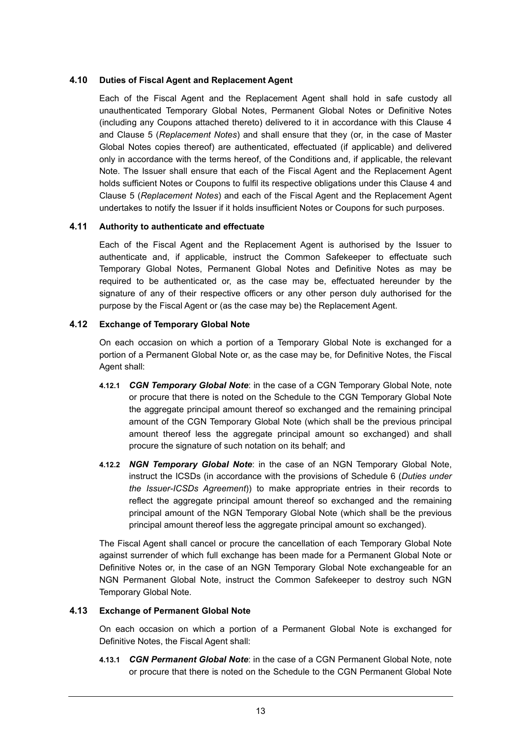## **4.10 Duties of Fiscal Agent and Replacement Agent**

Each of the Fiscal Agent and the Replacement Agent shall hold in safe custody all unauthenticated Temporary Global Notes, Permanent Global Notes or Definitive Notes (including any Coupons attached thereto) delivered to it in accordance with this Clause 4 and Clause 5 (*Replacement Notes*) and shall ensure that they (or, in the case of Master Global Notes copies thereof) are authenticated, effectuated (if applicable) and delivered only in accordance with the terms hereof, of the Conditions and, if applicable, the relevant Note. The Issuer shall ensure that each of the Fiscal Agent and the Replacement Agent holds sufficient Notes or Coupons to fulfil its respective obligations under this Clause 4 and Clause 5 (*Replacement Notes*) and each of the Fiscal Agent and the Replacement Agent undertakes to notify the Issuer if it holds insufficient Notes or Coupons for such purposes.

## **4.11 Authority to authenticate and effectuate**

Each of the Fiscal Agent and the Replacement Agent is authorised by the Issuer to authenticate and, if applicable, instruct the Common Safekeeper to effectuate such Temporary Global Notes, Permanent Global Notes and Definitive Notes as may be required to be authenticated or, as the case may be, effectuated hereunder by the signature of any of their respective officers or any other person duly authorised for the purpose by the Fiscal Agent or (as the case may be) the Replacement Agent.

## **4.12 Exchange of Temporary Global Note**

On each occasion on which a portion of a Temporary Global Note is exchanged for a portion of a Permanent Global Note or, as the case may be, for Definitive Notes, the Fiscal Agent shall:

- **4.12.1** *CGN Temporary Global Note*: in the case of a CGN Temporary Global Note, note or procure that there is noted on the Schedule to the CGN Temporary Global Note the aggregate principal amount thereof so exchanged and the remaining principal amount of the CGN Temporary Global Note (which shall be the previous principal amount thereof less the aggregate principal amount so exchanged) and shall procure the signature of such notation on its behalf; and
- **4.12.2** *NGN Temporary Global Note*: in the case of an NGN Temporary Global Note, instruct the ICSDs (in accordance with the provisions of Schedule 6 (*Duties under the Issuer-ICSDs Agreement*)) to make appropriate entries in their records to reflect the aggregate principal amount thereof so exchanged and the remaining principal amount of the NGN Temporary Global Note (which shall be the previous principal amount thereof less the aggregate principal amount so exchanged).

The Fiscal Agent shall cancel or procure the cancellation of each Temporary Global Note against surrender of which full exchange has been made for a Permanent Global Note or Definitive Notes or, in the case of an NGN Temporary Global Note exchangeable for an NGN Permanent Global Note, instruct the Common Safekeeper to destroy such NGN Temporary Global Note.

# **4.13 Exchange of Permanent Global Note**

On each occasion on which a portion of a Permanent Global Note is exchanged for Definitive Notes, the Fiscal Agent shall:

**4.13.1** *CGN Permanent Global Note*: in the case of a CGN Permanent Global Note, note or procure that there is noted on the Schedule to the CGN Permanent Global Note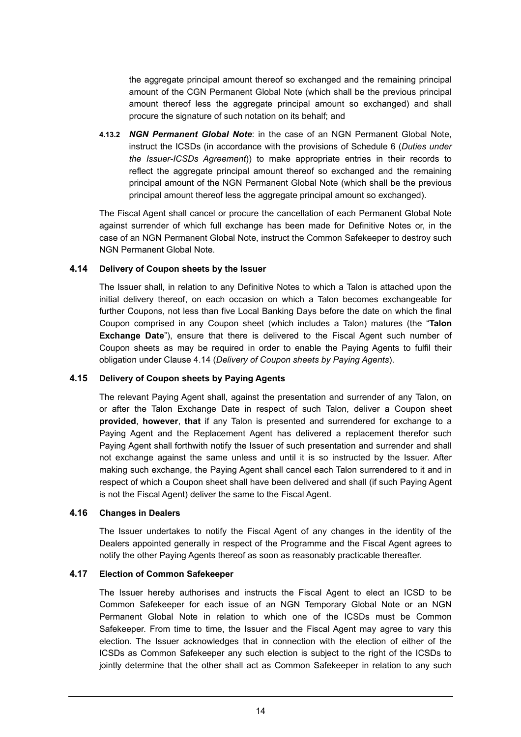the aggregate principal amount thereof so exchanged and the remaining principal amount of the CGN Permanent Global Note (which shall be the previous principal amount thereof less the aggregate principal amount so exchanged) and shall procure the signature of such notation on its behalf; and

**4.13.2** *NGN Permanent Global Note*: in the case of an NGN Permanent Global Note, instruct the ICSDs (in accordance with the provisions of Schedule 6 (*Duties under the Issuer-ICSDs Agreement*)) to make appropriate entries in their records to reflect the aggregate principal amount thereof so exchanged and the remaining principal amount of the NGN Permanent Global Note (which shall be the previous principal amount thereof less the aggregate principal amount so exchanged).

The Fiscal Agent shall cancel or procure the cancellation of each Permanent Global Note against surrender of which full exchange has been made for Definitive Notes or, in the case of an NGN Permanent Global Note, instruct the Common Safekeeper to destroy such NGN Permanent Global Note.

## **4.14 Delivery of Coupon sheets by the Issuer**

The Issuer shall, in relation to any Definitive Notes to which a Talon is attached upon the initial delivery thereof, on each occasion on which a Talon becomes exchangeable for further Coupons, not less than five Local Banking Days before the date on which the final Coupon comprised in any Coupon sheet (which includes a Talon) matures (the "**Talon Exchange Date**"), ensure that there is delivered to the Fiscal Agent such number of Coupon sheets as may be required in order to enable the Paying Agents to fulfil their obligation under Clause 4.14 (*Delivery of Coupon sheets by Paying Agents*).

## **4.15 Delivery of Coupon sheets by Paying Agents**

The relevant Paying Agent shall, against the presentation and surrender of any Talon, on or after the Talon Exchange Date in respect of such Talon, deliver a Coupon sheet **provided**, **however**, **that** if any Talon is presented and surrendered for exchange to a Paying Agent and the Replacement Agent has delivered a replacement therefor such Paying Agent shall forthwith notify the Issuer of such presentation and surrender and shall not exchange against the same unless and until it is so instructed by the Issuer. After making such exchange, the Paying Agent shall cancel each Talon surrendered to it and in respect of which a Coupon sheet shall have been delivered and shall (if such Paying Agent is not the Fiscal Agent) deliver the same to the Fiscal Agent.

## **4.16 Changes in Dealers**

The Issuer undertakes to notify the Fiscal Agent of any changes in the identity of the Dealers appointed generally in respect of the Programme and the Fiscal Agent agrees to notify the other Paying Agents thereof as soon as reasonably practicable thereafter.

# **4.17 Election of Common Safekeeper**

The Issuer hereby authorises and instructs the Fiscal Agent to elect an ICSD to be Common Safekeeper for each issue of an NGN Temporary Global Note or an NGN Permanent Global Note in relation to which one of the ICSDs must be Common Safekeeper. From time to time, the Issuer and the Fiscal Agent may agree to vary this election. The Issuer acknowledges that in connection with the election of either of the ICSDs as Common Safekeeper any such election is subject to the right of the ICSDs to jointly determine that the other shall act as Common Safekeeper in relation to any such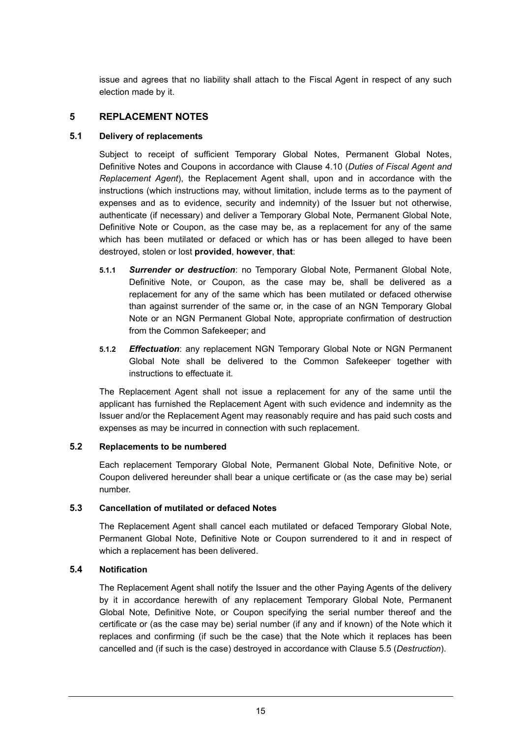issue and agrees that no liability shall attach to the Fiscal Agent in respect of any such election made by it.

# **5 REPLACEMENT NOTES**

## **5.1 Delivery of replacements**

Subject to receipt of sufficient Temporary Global Notes, Permanent Global Notes, Definitive Notes and Coupons in accordance with Clause 4.10 (*Duties of Fiscal Agent and Replacement Agent*), the Replacement Agent shall, upon and in accordance with the instructions (which instructions may, without limitation, include terms as to the payment of expenses and as to evidence, security and indemnity) of the Issuer but not otherwise, authenticate (if necessary) and deliver a Temporary Global Note, Permanent Global Note, Definitive Note or Coupon, as the case may be, as a replacement for any of the same which has been mutilated or defaced or which has or has been alleged to have been destroyed, stolen or lost **provided**, **however**, **that**:

- **5.1.1** *Surrender or destruction*: no Temporary Global Note, Permanent Global Note, Definitive Note, or Coupon, as the case may be, shall be delivered as a replacement for any of the same which has been mutilated or defaced otherwise than against surrender of the same or, in the case of an NGN Temporary Global Note or an NGN Permanent Global Note, appropriate confirmation of destruction from the Common Safekeeper; and
- **5.1.2** *Effectuation*: any replacement NGN Temporary Global Note or NGN Permanent Global Note shall be delivered to the Common Safekeeper together with instructions to effectuate it.

The Replacement Agent shall not issue a replacement for any of the same until the applicant has furnished the Replacement Agent with such evidence and indemnity as the Issuer and/or the Replacement Agent may reasonably require and has paid such costs and expenses as may be incurred in connection with such replacement.

## **5.2 Replacements to be numbered**

Each replacement Temporary Global Note, Permanent Global Note, Definitive Note, or Coupon delivered hereunder shall bear a unique certificate or (as the case may be) serial number.

## **5.3 Cancellation of mutilated or defaced Notes**

The Replacement Agent shall cancel each mutilated or defaced Temporary Global Note, Permanent Global Note, Definitive Note or Coupon surrendered to it and in respect of which a replacement has been delivered.

# **5.4 Notification**

The Replacement Agent shall notify the Issuer and the other Paying Agents of the delivery by it in accordance herewith of any replacement Temporary Global Note, Permanent Global Note, Definitive Note, or Coupon specifying the serial number thereof and the certificate or (as the case may be) serial number (if any and if known) of the Note which it replaces and confirming (if such be the case) that the Note which it replaces has been cancelled and (if such is the case) destroyed in accordance with Clause 5.5 (*Destruction*).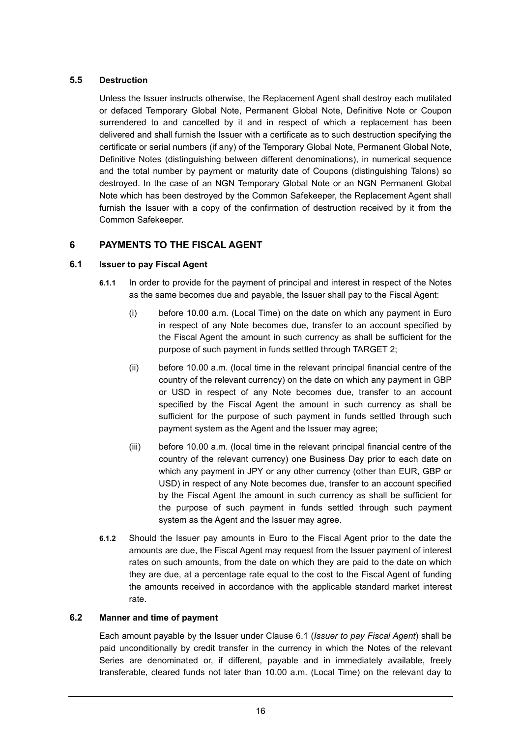# **5.5 Destruction**

Unless the Issuer instructs otherwise, the Replacement Agent shall destroy each mutilated or defaced Temporary Global Note, Permanent Global Note, Definitive Note or Coupon surrendered to and cancelled by it and in respect of which a replacement has been delivered and shall furnish the Issuer with a certificate as to such destruction specifying the certificate or serial numbers (if any) of the Temporary Global Note, Permanent Global Note, Definitive Notes (distinguishing between different denominations), in numerical sequence and the total number by payment or maturity date of Coupons (distinguishing Talons) so destroyed. In the case of an NGN Temporary Global Note or an NGN Permanent Global Note which has been destroyed by the Common Safekeeper, the Replacement Agent shall furnish the Issuer with a copy of the confirmation of destruction received by it from the Common Safekeeper.

# **6 PAYMENTS TO THE FISCAL AGENT**

## **6.1 Issuer to pay Fiscal Agent**

- **6.1.1** In order to provide for the payment of principal and interest in respect of the Notes as the same becomes due and payable, the Issuer shall pay to the Fiscal Agent:
	- (i) before 10.00 a.m. (Local Time) on the date on which any payment in Euro in respect of any Note becomes due, transfer to an account specified by the Fiscal Agent the amount in such currency as shall be sufficient for the purpose of such payment in funds settled through TARGET 2;
	- (ii) before 10.00 a.m. (local time in the relevant principal financial centre of the country of the relevant currency) on the date on which any payment in GBP or USD in respect of any Note becomes due, transfer to an account specified by the Fiscal Agent the amount in such currency as shall be sufficient for the purpose of such payment in funds settled through such payment system as the Agent and the Issuer may agree;
	- (iii) before 10.00 a.m. (local time in the relevant principal financial centre of the country of the relevant currency) one Business Day prior to each date on which any payment in JPY or any other currency (other than EUR, GBP or USD) in respect of any Note becomes due, transfer to an account specified by the Fiscal Agent the amount in such currency as shall be sufficient for the purpose of such payment in funds settled through such payment system as the Agent and the Issuer may agree.
- **6.1.2** Should the Issuer pay amounts in Euro to the Fiscal Agent prior to the date the amounts are due, the Fiscal Agent may request from the Issuer payment of interest rates on such amounts, from the date on which they are paid to the date on which they are due, at a percentage rate equal to the cost to the Fiscal Agent of funding the amounts received in accordance with the applicable standard market interest rate.

## **6.2 Manner and time of payment**

Each amount payable by the Issuer under Clause 6.1 (*Issuer to pay Fiscal Agent*) shall be paid unconditionally by credit transfer in the currency in which the Notes of the relevant Series are denominated or, if different, payable and in immediately available, freely transferable, cleared funds not later than 10.00 a.m. (Local Time) on the relevant day to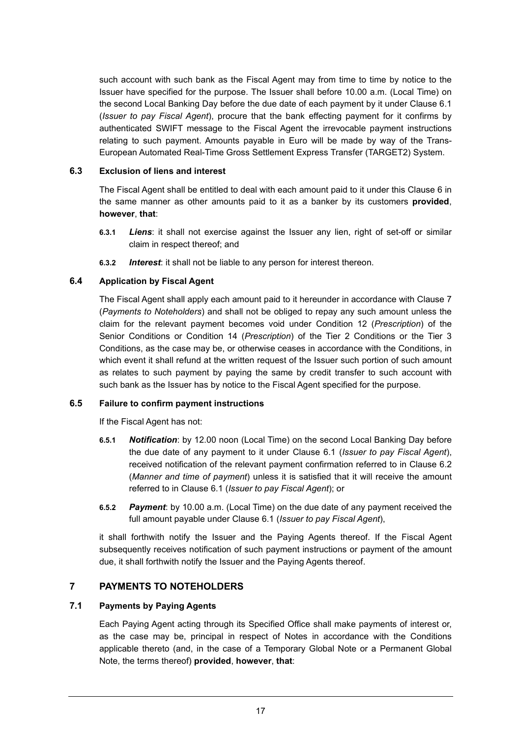such account with such bank as the Fiscal Agent may from time to time by notice to the Issuer have specified for the purpose. The Issuer shall before 10.00 a.m. (Local Time) on the second Local Banking Day before the due date of each payment by it under Clause 6.1 (*Issuer to pay Fiscal Agent*), procure that the bank effecting payment for it confirms by authenticated SWIFT message to the Fiscal Agent the irrevocable payment instructions relating to such payment. Amounts payable in Euro will be made by way of the Trans-European Automated Real-Time Gross Settlement Express Transfer (TARGET2) System.

## **6.3 Exclusion of liens and interest**

The Fiscal Agent shall be entitled to deal with each amount paid to it under this Clause 6 in the same manner as other amounts paid to it as a banker by its customers **provided**, **however**, **that**:

- **6.3.1** *Liens*: it shall not exercise against the Issuer any lien, right of set-off or similar claim in respect thereof; and
- **6.3.2** *Interest*: it shall not be liable to any person for interest thereon.

# **6.4 Application by Fiscal Agent**

The Fiscal Agent shall apply each amount paid to it hereunder in accordance with Clause 7 (*Payments to Noteholders*) and shall not be obliged to repay any such amount unless the claim for the relevant payment becomes void under Condition 12 (*Prescription*) of the Senior Conditions or Condition 14 (*Prescription*) of the Tier 2 Conditions or the Tier 3 Conditions, as the case may be, or otherwise ceases in accordance with the Conditions, in which event it shall refund at the written request of the Issuer such portion of such amount as relates to such payment by paying the same by credit transfer to such account with such bank as the Issuer has by notice to the Fiscal Agent specified for the purpose.

## **6.5 Failure to confirm payment instructions**

If the Fiscal Agent has not:

- **6.5.1** *Notification*: by 12.00 noon (Local Time) on the second Local Banking Day before the due date of any payment to it under Clause 6.1 (*Issuer to pay Fiscal Agent*), received notification of the relevant payment confirmation referred to in Clause 6.2 (*Manner and time of payment*) unless it is satisfied that it will receive the amount referred to in Clause 6.1 (*Issuer to pay Fiscal Agent*); or
- **6.5.2** *Payment*: by 10.00 a.m. (Local Time) on the due date of any payment received the full amount payable under Clause 6.1 (*Issuer to pay Fiscal Agent*),

it shall forthwith notify the Issuer and the Paying Agents thereof. If the Fiscal Agent subsequently receives notification of such payment instructions or payment of the amount due, it shall forthwith notify the Issuer and the Paying Agents thereof.

# **7 PAYMENTS TO NOTEHOLDERS**

# **7.1 Payments by Paying Agents**

Each Paying Agent acting through its Specified Office shall make payments of interest or, as the case may be, principal in respect of Notes in accordance with the Conditions applicable thereto (and, in the case of a Temporary Global Note or a Permanent Global Note, the terms thereof) **provided**, **however**, **that**: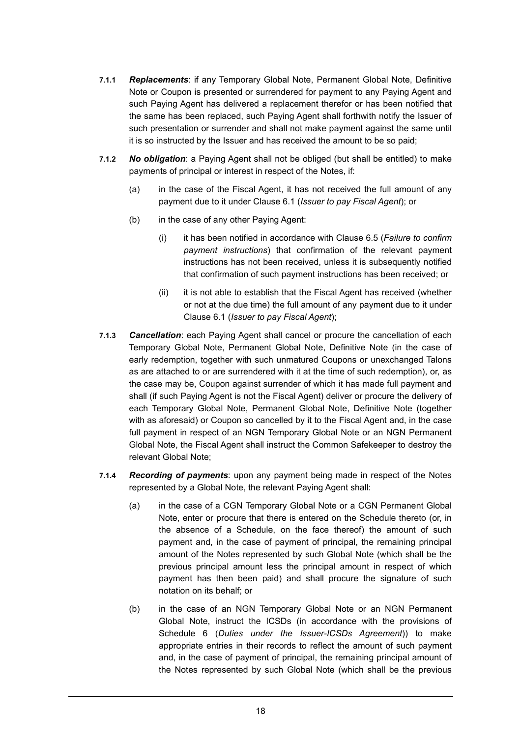- **7.1.1** *Replacements*: if any Temporary Global Note, Permanent Global Note, Definitive Note or Coupon is presented or surrendered for payment to any Paying Agent and such Paying Agent has delivered a replacement therefor or has been notified that the same has been replaced, such Paying Agent shall forthwith notify the Issuer of such presentation or surrender and shall not make payment against the same until it is so instructed by the Issuer and has received the amount to be so paid;
- **7.1.2** *No obligation*: a Paying Agent shall not be obliged (but shall be entitled) to make payments of principal or interest in respect of the Notes, if:
	- (a) in the case of the Fiscal Agent, it has not received the full amount of any payment due to it under Clause 6.1 (*Issuer to pay Fiscal Agent*); or
	- (b) in the case of any other Paying Agent:
		- (i) it has been notified in accordance with Clause 6.5 (*Failure to confirm payment instructions*) that confirmation of the relevant payment instructions has not been received, unless it is subsequently notified that confirmation of such payment instructions has been received; or
		- (ii) it is not able to establish that the Fiscal Agent has received (whether or not at the due time) the full amount of any payment due to it under Clause 6.1 (*Issuer to pay Fiscal Agent*);
- **7.1.3** *Cancellation*: each Paying Agent shall cancel or procure the cancellation of each Temporary Global Note, Permanent Global Note, Definitive Note (in the case of early redemption, together with such unmatured Coupons or unexchanged Talons as are attached to or are surrendered with it at the time of such redemption), or, as the case may be, Coupon against surrender of which it has made full payment and shall (if such Paying Agent is not the Fiscal Agent) deliver or procure the delivery of each Temporary Global Note, Permanent Global Note, Definitive Note (together with as aforesaid) or Coupon so cancelled by it to the Fiscal Agent and, in the case full payment in respect of an NGN Temporary Global Note or an NGN Permanent Global Note, the Fiscal Agent shall instruct the Common Safekeeper to destroy the relevant Global Note;
- **7.1.4** *Recording of payments*: upon any payment being made in respect of the Notes represented by a Global Note, the relevant Paying Agent shall:
	- (a) in the case of a CGN Temporary Global Note or a CGN Permanent Global Note, enter or procure that there is entered on the Schedule thereto (or, in the absence of a Schedule, on the face thereof) the amount of such payment and, in the case of payment of principal, the remaining principal amount of the Notes represented by such Global Note (which shall be the previous principal amount less the principal amount in respect of which payment has then been paid) and shall procure the signature of such notation on its behalf; or
	- (b) in the case of an NGN Temporary Global Note or an NGN Permanent Global Note, instruct the ICSDs (in accordance with the provisions of Schedule 6 (*Duties under the Issuer-ICSDs Agreement*)) to make appropriate entries in their records to reflect the amount of such payment and, in the case of payment of principal, the remaining principal amount of the Notes represented by such Global Note (which shall be the previous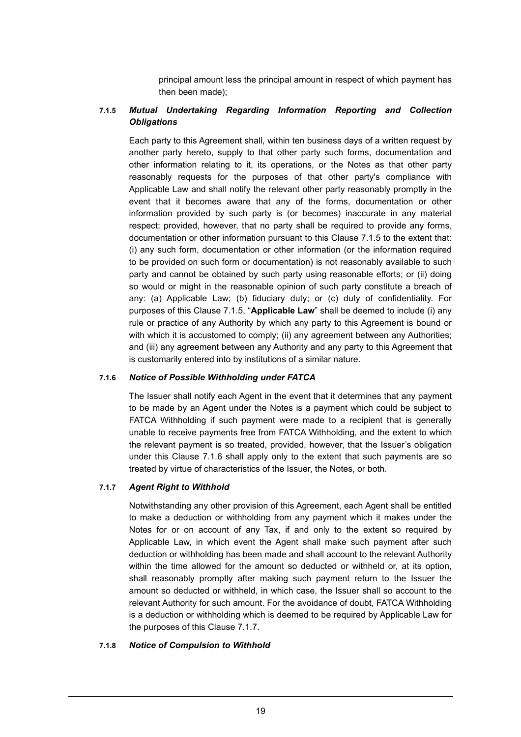principal amount less the principal amount in respect of which payment has then been made);

# **7.1.5** *Mutual Undertaking Regarding Information Reporting and Collection Obligations*

Each party to this Agreement shall, within ten business days of a written request by another party hereto, supply to that other party such forms, documentation and other information relating to it, its operations, or the Notes as that other party reasonably requests for the purposes of that other party's compliance with Applicable Law and shall notify the relevant other party reasonably promptly in the event that it becomes aware that any of the forms, documentation or other information provided by such party is (or becomes) inaccurate in any material respect; provided, however, that no party shall be required to provide any forms, documentation or other information pursuant to this Clause 7.1.5 to the extent that: (i) any such form, documentation or other information (or the information required to be provided on such form or documentation) is not reasonably available to such party and cannot be obtained by such party using reasonable efforts; or (ii) doing so would or might in the reasonable opinion of such party constitute a breach of any: (a) Applicable Law; (b) fiduciary duty; or (c) duty of confidentiality. For purposes of this Clause 7.1.5, "**Applicable Law**" shall be deemed to include (i) any rule or practice of any Authority by which any party to this Agreement is bound or with which it is accustomed to comply; (ii) any agreement between any Authorities; and (iii) any agreement between any Authority and any party to this Agreement that is customarily entered into by institutions of a similar nature.

## **7.1.6** *Notice of Possible Withholding under FATCA*

The Issuer shall notify each Agent in the event that it determines that any payment to be made by an Agent under the Notes is a payment which could be subject to FATCA Withholding if such payment were made to a recipient that is generally unable to receive payments free from FATCA Withholding, and the extent to which the relevant payment is so treated, provided, however, that the Issuer's obligation under this Clause 7.1.6 shall apply only to the extent that such payments are so treated by virtue of characteristics of the Issuer, the Notes, or both.

# **7.1.7** *Agent Right to Withhold*

Notwithstanding any other provision of this Agreement, each Agent shall be entitled to make a deduction or withholding from any payment which it makes under the Notes for or on account of any Tax, if and only to the extent so required by Applicable Law, in which event the Agent shall make such payment after such deduction or withholding has been made and shall account to the relevant Authority within the time allowed for the amount so deducted or withheld or, at its option, shall reasonably promptly after making such payment return to the Issuer the amount so deducted or withheld, in which case, the Issuer shall so account to the relevant Authority for such amount. For the avoidance of doubt, FATCA Withholding is a deduction or withholding which is deemed to be required by Applicable Law for the purposes of this Clause 7.1.7.

## **7.1.8** *Notice of Compulsion to Withhold*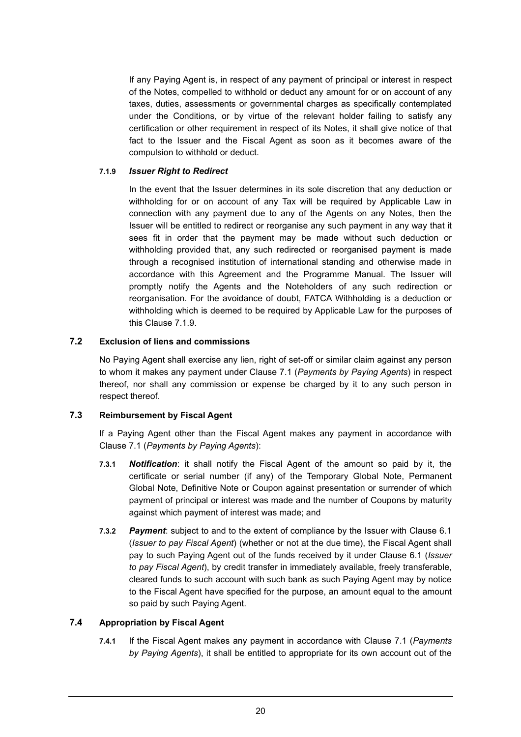If any Paying Agent is, in respect of any payment of principal or interest in respect of the Notes, compelled to withhold or deduct any amount for or on account of any taxes, duties, assessments or governmental charges as specifically contemplated under the Conditions, or by virtue of the relevant holder failing to satisfy any certification or other requirement in respect of its Notes, it shall give notice of that fact to the Issuer and the Fiscal Agent as soon as it becomes aware of the compulsion to withhold or deduct.

## **7.1.9** *Issuer Right to Redirect*

In the event that the Issuer determines in its sole discretion that any deduction or withholding for or on account of any Tax will be required by Applicable Law in connection with any payment due to any of the Agents on any Notes, then the Issuer will be entitled to redirect or reorganise any such payment in any way that it sees fit in order that the payment may be made without such deduction or withholding provided that, any such redirected or reorganised payment is made through a recognised institution of international standing and otherwise made in accordance with this Agreement and the Programme Manual. The Issuer will promptly notify the Agents and the Noteholders of any such redirection or reorganisation. For the avoidance of doubt, FATCA Withholding is a deduction or withholding which is deemed to be required by Applicable Law for the purposes of this Clause 7.1.9.

## **7.2 Exclusion of liens and commissions**

No Paying Agent shall exercise any lien, right of set-off or similar claim against any person to whom it makes any payment under Clause 7.1 (*Payments by Paying Agents*) in respect thereof, nor shall any commission or expense be charged by it to any such person in respect thereof.

## **7.3 Reimbursement by Fiscal Agent**

If a Paying Agent other than the Fiscal Agent makes any payment in accordance with Clause 7.1 (*Payments by Paying Agents*):

- **7.3.1** *Notification*: it shall notify the Fiscal Agent of the amount so paid by it, the certificate or serial number (if any) of the Temporary Global Note, Permanent Global Note, Definitive Note or Coupon against presentation or surrender of which payment of principal or interest was made and the number of Coupons by maturity against which payment of interest was made; and
- **7.3.2** *Payment*: subject to and to the extent of compliance by the Issuer with Clause 6.1 (*Issuer to pay Fiscal Agent*) (whether or not at the due time), the Fiscal Agent shall pay to such Paying Agent out of the funds received by it under Clause 6.1 (*Issuer to pay Fiscal Agent*), by credit transfer in immediately available, freely transferable, cleared funds to such account with such bank as such Paying Agent may by notice to the Fiscal Agent have specified for the purpose, an amount equal to the amount so paid by such Paying Agent.

# **7.4 Appropriation by Fiscal Agent**

**7.4.1** If the Fiscal Agent makes any payment in accordance with Clause 7.1 (*Payments by Paying Agents*), it shall be entitled to appropriate for its own account out of the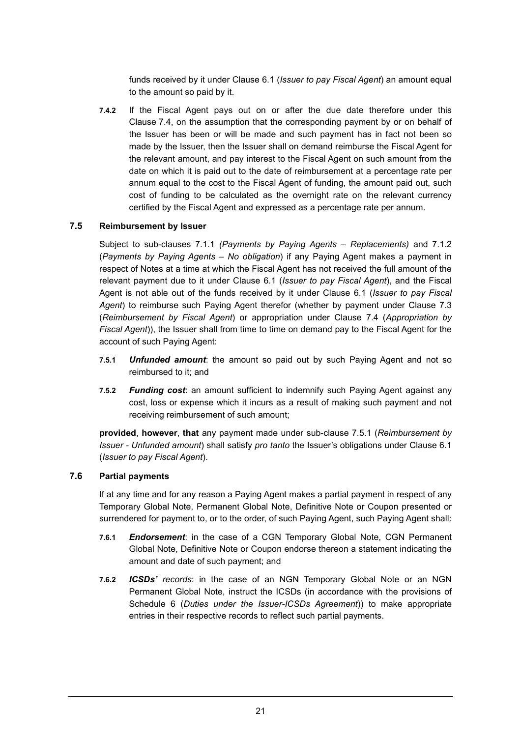funds received by it under Clause 6.1 (*Issuer to pay Fiscal Agent*) an amount equal to the amount so paid by it.

**7.4.2** If the Fiscal Agent pays out on or after the due date therefore under this Clause 7.4, on the assumption that the corresponding payment by or on behalf of the Issuer has been or will be made and such payment has in fact not been so made by the Issuer, then the Issuer shall on demand reimburse the Fiscal Agent for the relevant amount, and pay interest to the Fiscal Agent on such amount from the date on which it is paid out to the date of reimbursement at a percentage rate per annum equal to the cost to the Fiscal Agent of funding, the amount paid out, such cost of funding to be calculated as the overnight rate on the relevant currency certified by the Fiscal Agent and expressed as a percentage rate per annum.

## **7.5 Reimbursement by Issuer**

Subject to sub-clauses 7.1.1 *(Payments by Paying Agents – Replacements)* and 7.1.2 (*Payments by Paying Agents – No obligation*) if any Paying Agent makes a payment in respect of Notes at a time at which the Fiscal Agent has not received the full amount of the relevant payment due to it under Clause 6.1 (*Issuer to pay Fiscal Agent*), and the Fiscal Agent is not able out of the funds received by it under Clause 6.1 (*Issuer to pay Fiscal Agent*) to reimburse such Paying Agent therefor (whether by payment under Clause 7.3 (*Reimbursement by Fiscal Agent*) or appropriation under Clause 7.4 (*Appropriation by Fiscal Agent*)), the Issuer shall from time to time on demand pay to the Fiscal Agent for the account of such Paying Agent:

- **7.5.1** *Unfunded amount*: the amount so paid out by such Paying Agent and not so reimbursed to it; and
- **7.5.2** *Funding cost*: an amount sufficient to indemnify such Paying Agent against any cost, loss or expense which it incurs as a result of making such payment and not receiving reimbursement of such amount;

**provided**, **however**, **that** any payment made under sub-clause 7.5.1 (*Reimbursement by Issuer - Unfunded amount*) shall satisfy *pro tanto* the Issuer's obligations under Clause 6.1 (*Issuer to pay Fiscal Agent*).

## **7.6 Partial payments**

If at any time and for any reason a Paying Agent makes a partial payment in respect of any Temporary Global Note, Permanent Global Note, Definitive Note or Coupon presented or surrendered for payment to, or to the order, of such Paying Agent, such Paying Agent shall:

- **7.6.1** *Endorsement*: in the case of a CGN Temporary Global Note, CGN Permanent Global Note, Definitive Note or Coupon endorse thereon a statement indicating the amount and date of such payment; and
- **7.6.2** *ICSDs' records*: in the case of an NGN Temporary Global Note or an NGN Permanent Global Note, instruct the ICSDs (in accordance with the provisions of Schedule 6 (*Duties under the Issuer-ICSDs Agreement*)) to make appropriate entries in their respective records to reflect such partial payments.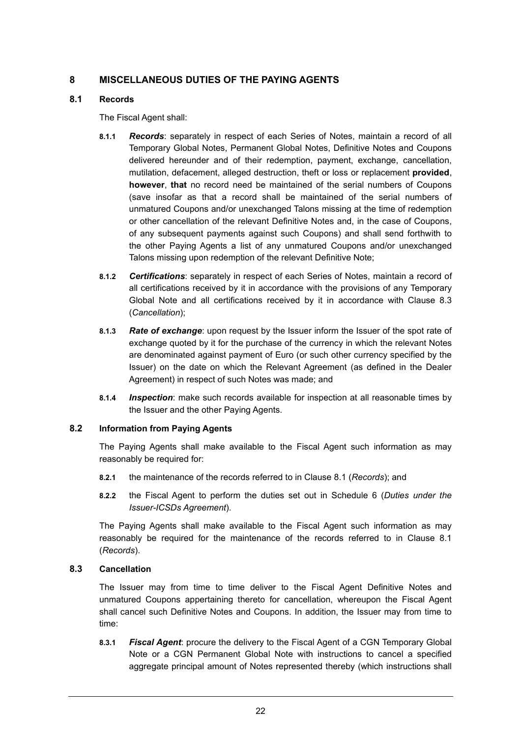# **8 MISCELLANEOUS DUTIES OF THE PAYING AGENTS**

## **8.1 Records**

The Fiscal Agent shall:

- **8.1.1** *Records*: separately in respect of each Series of Notes, maintain a record of all Temporary Global Notes, Permanent Global Notes, Definitive Notes and Coupons delivered hereunder and of their redemption, payment, exchange, cancellation, mutilation, defacement, alleged destruction, theft or loss or replacement **provided**, **however**, **that** no record need be maintained of the serial numbers of Coupons (save insofar as that a record shall be maintained of the serial numbers of unmatured Coupons and/or unexchanged Talons missing at the time of redemption or other cancellation of the relevant Definitive Notes and, in the case of Coupons, of any subsequent payments against such Coupons) and shall send forthwith to the other Paying Agents a list of any unmatured Coupons and/or unexchanged Talons missing upon redemption of the relevant Definitive Note;
- **8.1.2** *Certifications*: separately in respect of each Series of Notes, maintain a record of all certifications received by it in accordance with the provisions of any Temporary Global Note and all certifications received by it in accordance with Clause 8.3 (*Cancellation*);
- **8.1.3** *Rate of exchange*: upon request by the Issuer inform the Issuer of the spot rate of exchange quoted by it for the purchase of the currency in which the relevant Notes are denominated against payment of Euro (or such other currency specified by the Issuer) on the date on which the Relevant Agreement (as defined in the Dealer Agreement) in respect of such Notes was made; and
- **8.1.4** *Inspection*: make such records available for inspection at all reasonable times by the Issuer and the other Paying Agents.

# **8.2 Information from Paying Agents**

The Paying Agents shall make available to the Fiscal Agent such information as may reasonably be required for:

- **8.2.1** the maintenance of the records referred to in Clause 8.1 (*Records*); and
- **8.2.2** the Fiscal Agent to perform the duties set out in Schedule 6 (*Duties under the Issuer-ICSDs Agreement*).

The Paying Agents shall make available to the Fiscal Agent such information as may reasonably be required for the maintenance of the records referred to in Clause 8.1 (*Records*).

# **8.3 Cancellation**

The Issuer may from time to time deliver to the Fiscal Agent Definitive Notes and unmatured Coupons appertaining thereto for cancellation, whereupon the Fiscal Agent shall cancel such Definitive Notes and Coupons. In addition, the Issuer may from time to time:

**8.3.1** *Fiscal Agent*: procure the delivery to the Fiscal Agent of a CGN Temporary Global Note or a CGN Permanent Global Note with instructions to cancel a specified aggregate principal amount of Notes represented thereby (which instructions shall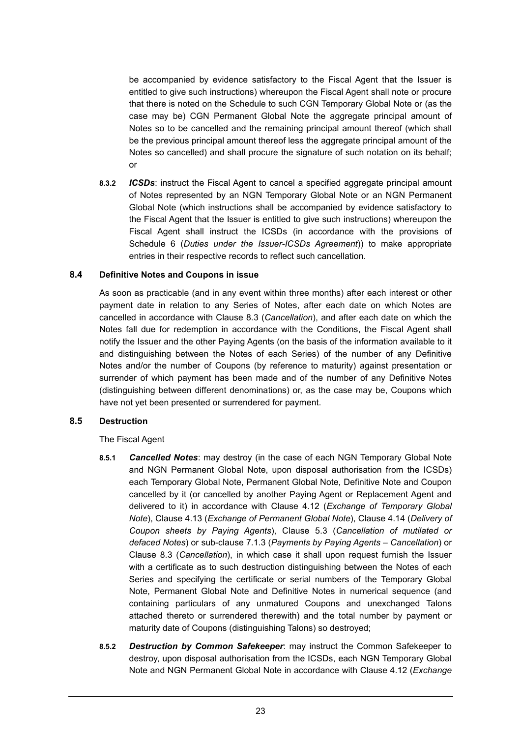be accompanied by evidence satisfactory to the Fiscal Agent that the Issuer is entitled to give such instructions) whereupon the Fiscal Agent shall note or procure that there is noted on the Schedule to such CGN Temporary Global Note or (as the case may be) CGN Permanent Global Note the aggregate principal amount of Notes so to be cancelled and the remaining principal amount thereof (which shall be the previous principal amount thereof less the aggregate principal amount of the Notes so cancelled) and shall procure the signature of such notation on its behalf; or

**8.3.2** *ICSDs*: instruct the Fiscal Agent to cancel a specified aggregate principal amount of Notes represented by an NGN Temporary Global Note or an NGN Permanent Global Note (which instructions shall be accompanied by evidence satisfactory to the Fiscal Agent that the Issuer is entitled to give such instructions) whereupon the Fiscal Agent shall instruct the ICSDs (in accordance with the provisions of Schedule 6 (*Duties under the Issuer-ICSDs Agreement*)) to make appropriate entries in their respective records to reflect such cancellation.

## **8.4 Definitive Notes and Coupons in issue**

As soon as practicable (and in any event within three months) after each interest or other payment date in relation to any Series of Notes, after each date on which Notes are cancelled in accordance with Clause 8.3 (*Cancellation*), and after each date on which the Notes fall due for redemption in accordance with the Conditions, the Fiscal Agent shall notify the Issuer and the other Paying Agents (on the basis of the information available to it and distinguishing between the Notes of each Series) of the number of any Definitive Notes and/or the number of Coupons (by reference to maturity) against presentation or surrender of which payment has been made and of the number of any Definitive Notes (distinguishing between different denominations) or, as the case may be, Coupons which have not yet been presented or surrendered for payment.

## **8.5 Destruction**

The Fiscal Agent

- **8.5.1** *Cancelled Notes*: may destroy (in the case of each NGN Temporary Global Note and NGN Permanent Global Note, upon disposal authorisation from the ICSDs) each Temporary Global Note, Permanent Global Note, Definitive Note and Coupon cancelled by it (or cancelled by another Paying Agent or Replacement Agent and delivered to it) in accordance with Clause 4.12 (*Exchange of Temporary Global Note*), Clause 4.13 (*Exchange of Permanent Global Note*), Clause 4.14 (*Delivery of Coupon sheets by Paying Agents*), Clause 5.3 (*Cancellation of mutilated or defaced Notes*) or sub-clause 7.1.3 (*Payments by Paying Agents* – *Cancellation*) or Clause 8.3 (*Cancellation*), in which case it shall upon request furnish the Issuer with a certificate as to such destruction distinguishing between the Notes of each Series and specifying the certificate or serial numbers of the Temporary Global Note, Permanent Global Note and Definitive Notes in numerical sequence (and containing particulars of any unmatured Coupons and unexchanged Talons attached thereto or surrendered therewith) and the total number by payment or maturity date of Coupons (distinguishing Talons) so destroyed;
- **8.5.2** *Destruction by Common Safekeeper*: may instruct the Common Safekeeper to destroy, upon disposal authorisation from the ICSDs, each NGN Temporary Global Note and NGN Permanent Global Note in accordance with Clause 4.12 (*Exchange*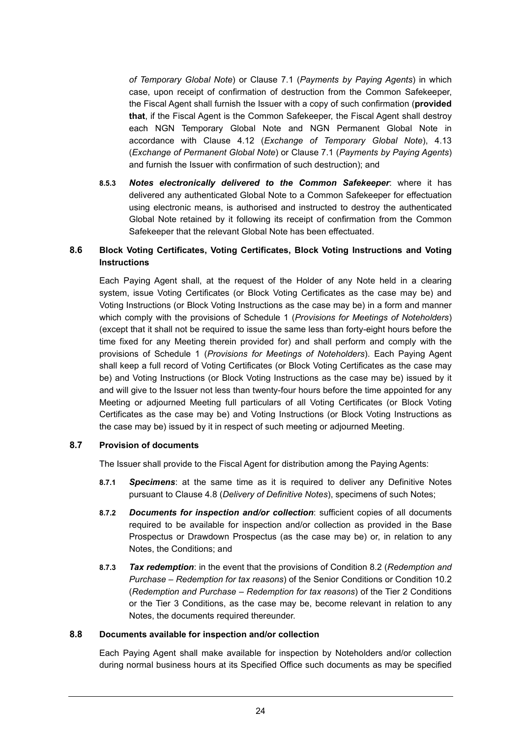*of Temporary Global Note*) or Clause 7.1 (*Payments by Paying Agents*) in which case, upon receipt of confirmation of destruction from the Common Safekeeper, the Fiscal Agent shall furnish the Issuer with a copy of such confirmation (**provided that**, if the Fiscal Agent is the Common Safekeeper, the Fiscal Agent shall destroy each NGN Temporary Global Note and NGN Permanent Global Note in accordance with Clause 4.12 (*Exchange of Temporary Global Note*), 4.13 (*Exchange of Permanent Global Note*) or Clause 7.1 (*Payments by Paying Agents*) and furnish the Issuer with confirmation of such destruction); and

**8.5.3** *Notes electronically delivered to the Common Safekeeper*: where it has delivered any authenticated Global Note to a Common Safekeeper for effectuation using electronic means, is authorised and instructed to destroy the authenticated Global Note retained by it following its receipt of confirmation from the Common Safekeeper that the relevant Global Note has been effectuated.

# **8.6 Block Voting Certificates, Voting Certificates, Block Voting Instructions and Voting Instructions**

Each Paying Agent shall, at the request of the Holder of any Note held in a clearing system, issue Voting Certificates (or Block Voting Certificates as the case may be) and Voting Instructions (or Block Voting Instructions as the case may be) in a form and manner which comply with the provisions of Schedule 1 (*Provisions for Meetings of Noteholders*) (except that it shall not be required to issue the same less than forty-eight hours before the time fixed for any Meeting therein provided for) and shall perform and comply with the provisions of Schedule 1 (*Provisions for Meetings of Noteholders*). Each Paying Agent shall keep a full record of Voting Certificates (or Block Voting Certificates as the case may be) and Voting Instructions (or Block Voting Instructions as the case may be) issued by it and will give to the Issuer not less than twenty-four hours before the time appointed for any Meeting or adjourned Meeting full particulars of all Voting Certificates (or Block Voting Certificates as the case may be) and Voting Instructions (or Block Voting Instructions as the case may be) issued by it in respect of such meeting or adjourned Meeting.

## **8.7 Provision of documents**

The Issuer shall provide to the Fiscal Agent for distribution among the Paying Agents:

- **8.7.1** *Specimens*: at the same time as it is required to deliver any Definitive Notes pursuant to Clause 4.8 (*Delivery of Definitive Notes*), specimens of such Notes;
- **8.7.2** *Documents for inspection and/or collection*: sufficient copies of all documents required to be available for inspection and/or collection as provided in the Base Prospectus or Drawdown Prospectus (as the case may be) or, in relation to any Notes, the Conditions; and
- **8.7.3** *Tax redemption*: in the event that the provisions of Condition 8.2 (*Redemption and Purchase – Redemption for tax reasons*) of the Senior Conditions or Condition 10.2 (*Redemption and Purchase – Redemption for tax reasons*) of the Tier 2 Conditions or the Tier 3 Conditions, as the case may be, become relevant in relation to any Notes, the documents required thereunder.

## **8.8 Documents available for inspection and/or collection**

Each Paying Agent shall make available for inspection by Noteholders and/or collection during normal business hours at its Specified Office such documents as may be specified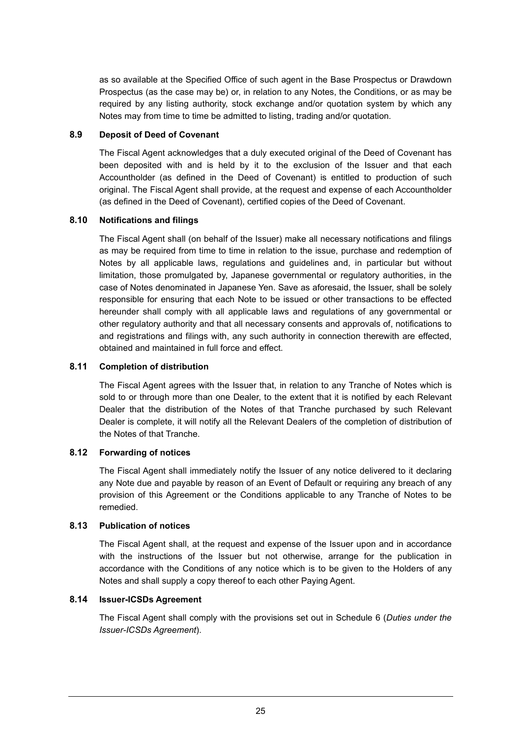as so available at the Specified Office of such agent in the Base Prospectus or Drawdown Prospectus (as the case may be) or, in relation to any Notes, the Conditions, or as may be required by any listing authority, stock exchange and/or quotation system by which any Notes may from time to time be admitted to listing, trading and/or quotation.

## **8.9 Deposit of Deed of Covenant**

The Fiscal Agent acknowledges that a duly executed original of the Deed of Covenant has been deposited with and is held by it to the exclusion of the Issuer and that each Accountholder (as defined in the Deed of Covenant) is entitled to production of such original. The Fiscal Agent shall provide, at the request and expense of each Accountholder (as defined in the Deed of Covenant), certified copies of the Deed of Covenant.

# **8.10 Notifications and filings**

The Fiscal Agent shall (on behalf of the Issuer) make all necessary notifications and filings as may be required from time to time in relation to the issue, purchase and redemption of Notes by all applicable laws, regulations and guidelines and, in particular but without limitation, those promulgated by, Japanese governmental or regulatory authorities, in the case of Notes denominated in Japanese Yen. Save as aforesaid, the Issuer, shall be solely responsible for ensuring that each Note to be issued or other transactions to be effected hereunder shall comply with all applicable laws and regulations of any governmental or other regulatory authority and that all necessary consents and approvals of, notifications to and registrations and filings with, any such authority in connection therewith are effected, obtained and maintained in full force and effect.

## **8.11 Completion of distribution**

The Fiscal Agent agrees with the Issuer that, in relation to any Tranche of Notes which is sold to or through more than one Dealer, to the extent that it is notified by each Relevant Dealer that the distribution of the Notes of that Tranche purchased by such Relevant Dealer is complete, it will notify all the Relevant Dealers of the completion of distribution of the Notes of that Tranche.

# **8.12 Forwarding of notices**

The Fiscal Agent shall immediately notify the Issuer of any notice delivered to it declaring any Note due and payable by reason of an Event of Default or requiring any breach of any provision of this Agreement or the Conditions applicable to any Tranche of Notes to be remedied.

## **8.13 Publication of notices**

The Fiscal Agent shall, at the request and expense of the Issuer upon and in accordance with the instructions of the Issuer but not otherwise, arrange for the publication in accordance with the Conditions of any notice which is to be given to the Holders of any Notes and shall supply a copy thereof to each other Paying Agent.

## **8.14 Issuer-ICSDs Agreement**

The Fiscal Agent shall comply with the provisions set out in Schedule 6 (*Duties under the Issuer-ICSDs Agreement*).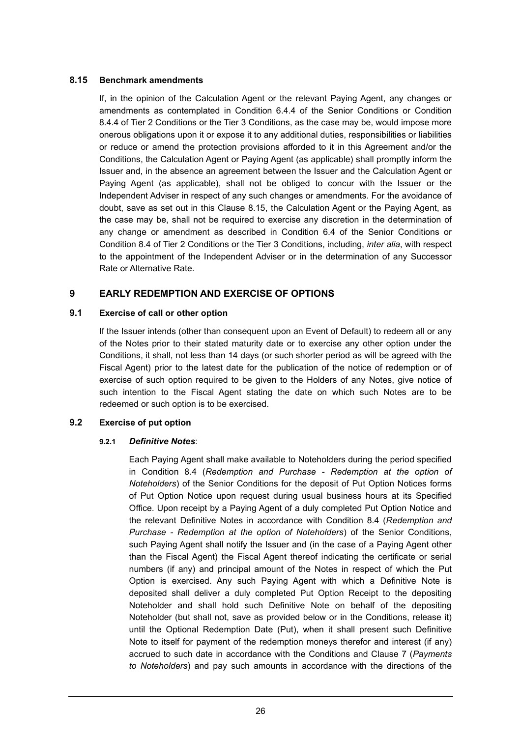## **8.15 Benchmark amendments**

If, in the opinion of the Calculation Agent or the relevant Paying Agent, any changes or amendments as contemplated in Condition 6.4.4 of the Senior Conditions or Condition 8.4.4 of Tier 2 Conditions or the Tier 3 Conditions, as the case may be, would impose more onerous obligations upon it or expose it to any additional duties, responsibilities or liabilities or reduce or amend the protection provisions afforded to it in this Agreement and/or the Conditions, the Calculation Agent or Paying Agent (as applicable) shall promptly inform the Issuer and, in the absence an agreement between the Issuer and the Calculation Agent or Paying Agent (as applicable), shall not be obliged to concur with the Issuer or the Independent Adviser in respect of any such changes or amendments. For the avoidance of doubt, save as set out in this Clause 8.15, the Calculation Agent or the Paying Agent, as the case may be, shall not be required to exercise any discretion in the determination of any change or amendment as described in Condition 6.4 of the Senior Conditions or Condition 8.4 of Tier 2 Conditions or the Tier 3 Conditions, including, *inter alia*, with respect to the appointment of the Independent Adviser or in the determination of any Successor Rate or Alternative Rate.

# **9 EARLY REDEMPTION AND EXERCISE OF OPTIONS**

## **9.1 Exercise of call or other option**

If the Issuer intends (other than consequent upon an Event of Default) to redeem all or any of the Notes prior to their stated maturity date or to exercise any other option under the Conditions, it shall, not less than 14 days (or such shorter period as will be agreed with the Fiscal Agent) prior to the latest date for the publication of the notice of redemption or of exercise of such option required to be given to the Holders of any Notes, give notice of such intention to the Fiscal Agent stating the date on which such Notes are to be redeemed or such option is to be exercised.

# **9.2 Exercise of put option**

## **9.2.1** *Definitive Notes*:

Each Paying Agent shall make available to Noteholders during the period specified in Condition 8.4 (*Redemption and Purchase - Redemption at the option of Noteholders*) of the Senior Conditions for the deposit of Put Option Notices forms of Put Option Notice upon request during usual business hours at its Specified Office. Upon receipt by a Paying Agent of a duly completed Put Option Notice and the relevant Definitive Notes in accordance with Condition 8.4 (*Redemption and Purchase - Redemption at the option of Noteholders*) of the Senior Conditions, such Paying Agent shall notify the Issuer and (in the case of a Paying Agent other than the Fiscal Agent) the Fiscal Agent thereof indicating the certificate or serial numbers (if any) and principal amount of the Notes in respect of which the Put Option is exercised. Any such Paying Agent with which a Definitive Note is deposited shall deliver a duly completed Put Option Receipt to the depositing Noteholder and shall hold such Definitive Note on behalf of the depositing Noteholder (but shall not, save as provided below or in the Conditions, release it) until the Optional Redemption Date (Put), when it shall present such Definitive Note to itself for payment of the redemption moneys therefor and interest (if any) accrued to such date in accordance with the Conditions and Clause 7 (*Payments to Noteholders*) and pay such amounts in accordance with the directions of the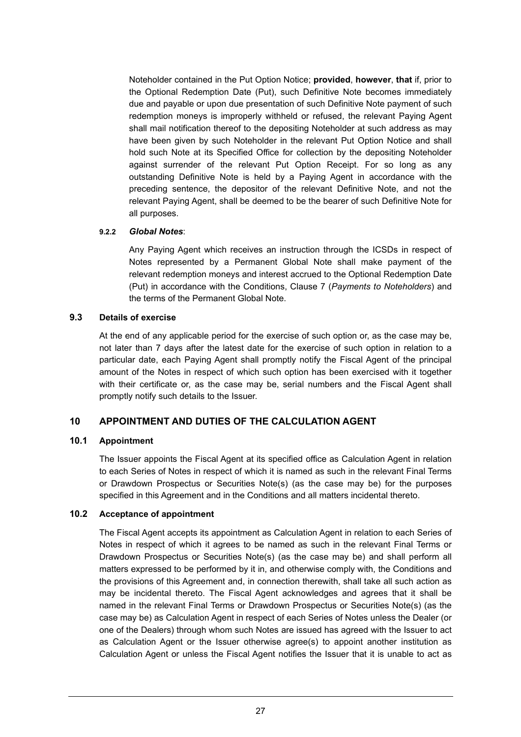Noteholder contained in the Put Option Notice; **provided**, **however**, **that** if, prior to the Optional Redemption Date (Put), such Definitive Note becomes immediately due and payable or upon due presentation of such Definitive Note payment of such redemption moneys is improperly withheld or refused, the relevant Paying Agent shall mail notification thereof to the depositing Noteholder at such address as may have been given by such Noteholder in the relevant Put Option Notice and shall hold such Note at its Specified Office for collection by the depositing Noteholder against surrender of the relevant Put Option Receipt. For so long as any outstanding Definitive Note is held by a Paying Agent in accordance with the preceding sentence, the depositor of the relevant Definitive Note, and not the relevant Paying Agent, shall be deemed to be the bearer of such Definitive Note for all purposes.

## **9.2.2** *Global Notes*:

Any Paying Agent which receives an instruction through the ICSDs in respect of Notes represented by a Permanent Global Note shall make payment of the relevant redemption moneys and interest accrued to the Optional Redemption Date (Put) in accordance with the Conditions, Clause 7 (*Payments to Noteholders*) and the terms of the Permanent Global Note.

## **9.3 Details of exercise**

At the end of any applicable period for the exercise of such option or, as the case may be, not later than 7 days after the latest date for the exercise of such option in relation to a particular date, each Paying Agent shall promptly notify the Fiscal Agent of the principal amount of the Notes in respect of which such option has been exercised with it together with their certificate or, as the case may be, serial numbers and the Fiscal Agent shall promptly notify such details to the Issuer.

# **10 APPOINTMENT AND DUTIES OF THE CALCULATION AGENT**

# **10.1 Appointment**

The Issuer appoints the Fiscal Agent at its specified office as Calculation Agent in relation to each Series of Notes in respect of which it is named as such in the relevant Final Terms or Drawdown Prospectus or Securities Note(s) (as the case may be) for the purposes specified in this Agreement and in the Conditions and all matters incidental thereto.

# **10.2 Acceptance of appointment**

The Fiscal Agent accepts its appointment as Calculation Agent in relation to each Series of Notes in respect of which it agrees to be named as such in the relevant Final Terms or Drawdown Prospectus or Securities Note(s) (as the case may be) and shall perform all matters expressed to be performed by it in, and otherwise comply with, the Conditions and the provisions of this Agreement and, in connection therewith, shall take all such action as may be incidental thereto. The Fiscal Agent acknowledges and agrees that it shall be named in the relevant Final Terms or Drawdown Prospectus or Securities Note(s) (as the case may be) as Calculation Agent in respect of each Series of Notes unless the Dealer (or one of the Dealers) through whom such Notes are issued has agreed with the Issuer to act as Calculation Agent or the Issuer otherwise agree(s) to appoint another institution as Calculation Agent or unless the Fiscal Agent notifies the Issuer that it is unable to act as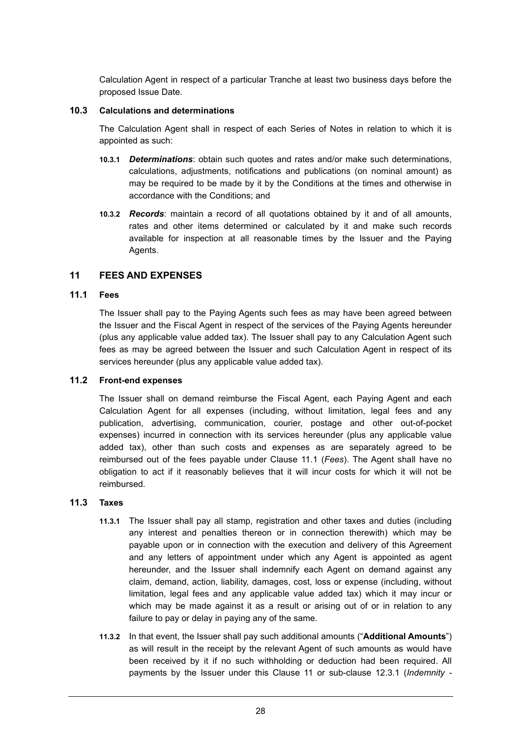Calculation Agent in respect of a particular Tranche at least two business days before the proposed Issue Date.

#### **10.3 Calculations and determinations**

The Calculation Agent shall in respect of each Series of Notes in relation to which it is appointed as such:

- **10.3.1** *Determinations*: obtain such quotes and rates and/or make such determinations, calculations, adjustments, notifications and publications (on nominal amount) as may be required to be made by it by the Conditions at the times and otherwise in accordance with the Conditions; and
- **10.3.2** *Records*: maintain a record of all quotations obtained by it and of all amounts, rates and other items determined or calculated by it and make such records available for inspection at all reasonable times by the Issuer and the Paying Agents.

## **11 FEES AND EXPENSES**

## **11.1 Fees**

The Issuer shall pay to the Paying Agents such fees as may have been agreed between the Issuer and the Fiscal Agent in respect of the services of the Paying Agents hereunder (plus any applicable value added tax). The Issuer shall pay to any Calculation Agent such fees as may be agreed between the Issuer and such Calculation Agent in respect of its services hereunder (plus any applicable value added tax).

## **11.2 Front-end expenses**

The Issuer shall on demand reimburse the Fiscal Agent, each Paying Agent and each Calculation Agent for all expenses (including, without limitation, legal fees and any publication, advertising, communication, courier, postage and other out-of-pocket expenses) incurred in connection with its services hereunder (plus any applicable value added tax), other than such costs and expenses as are separately agreed to be reimbursed out of the fees payable under Clause 11.1 (*Fees*). The Agent shall have no obligation to act if it reasonably believes that it will incur costs for which it will not be reimbursed.

## **11.3 Taxes**

- **11.3.1** The Issuer shall pay all stamp, registration and other taxes and duties (including any interest and penalties thereon or in connection therewith) which may be payable upon or in connection with the execution and delivery of this Agreement and any letters of appointment under which any Agent is appointed as agent hereunder, and the Issuer shall indemnify each Agent on demand against any claim, demand, action, liability, damages, cost, loss or expense (including, without limitation, legal fees and any applicable value added tax) which it may incur or which may be made against it as a result or arising out of or in relation to any failure to pay or delay in paying any of the same.
- **11.3.2** In that event, the Issuer shall pay such additional amounts ("**Additional Amounts**") as will result in the receipt by the relevant Agent of such amounts as would have been received by it if no such withholding or deduction had been required. All payments by the Issuer under this Clause 11 or sub-clause 12.3.1 (*Indemnity -*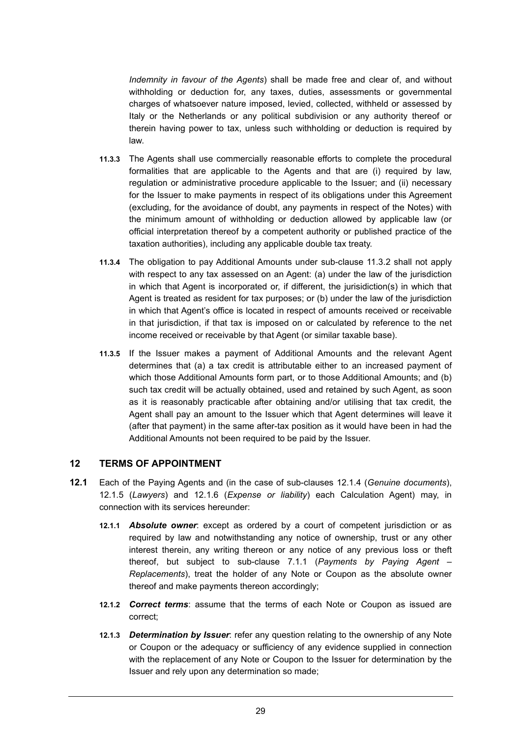*Indemnity in favour of the Agents*) shall be made free and clear of, and without withholding or deduction for, any taxes, duties, assessments or governmental charges of whatsoever nature imposed, levied, collected, withheld or assessed by Italy or the Netherlands or any political subdivision or any authority thereof or therein having power to tax, unless such withholding or deduction is required by law.

- **11.3.3** The Agents shall use commercially reasonable efforts to complete the procedural formalities that are applicable to the Agents and that are (i) required by law, regulation or administrative procedure applicable to the Issuer; and (ii) necessary for the Issuer to make payments in respect of its obligations under this Agreement (excluding, for the avoidance of doubt, any payments in respect of the Notes) with the minimum amount of withholding or deduction allowed by applicable law (or official interpretation thereof by a competent authority or published practice of the taxation authorities), including any applicable double tax treaty.
- **11.3.4** The obligation to pay Additional Amounts under sub-clause 11.3.2 shall not apply with respect to any tax assessed on an Agent: (a) under the law of the jurisdiction in which that Agent is incorporated or, if different, the jurisidiction(s) in which that Agent is treated as resident for tax purposes; or (b) under the law of the jurisdiction in which that Agent's office is located in respect of amounts received or receivable in that jurisdiction, if that tax is imposed on or calculated by reference to the net income received or receivable by that Agent (or similar taxable base).
- **11.3.5** If the Issuer makes a payment of Additional Amounts and the relevant Agent determines that (a) a tax credit is attributable either to an increased payment of which those Additional Amounts form part, or to those Additional Amounts; and (b) such tax credit will be actually obtained, used and retained by such Agent, as soon as it is reasonably practicable after obtaining and/or utilising that tax credit, the Agent shall pay an amount to the Issuer which that Agent determines will leave it (after that payment) in the same after-tax position as it would have been in had the Additional Amounts not been required to be paid by the Issuer.

## **12 TERMS OF APPOINTMENT**

- **12.1** Each of the Paying Agents and (in the case of sub-clauses 12.1.4 (*Genuine documents*), 12.1.5 (*Lawyers*) and 12.1.6 (*Expense or liability*) each Calculation Agent) may, in connection with its services hereunder:
	- **12.1.1** *Absolute owner*: except as ordered by a court of competent jurisdiction or as required by law and notwithstanding any notice of ownership, trust or any other interest therein, any writing thereon or any notice of any previous loss or theft thereof, but subject to sub-clause 7.1.1 (*Payments by Paying Agent – Replacements*), treat the holder of any Note or Coupon as the absolute owner thereof and make payments thereon accordingly;
	- **12.1.2** *Correct terms*: assume that the terms of each Note or Coupon as issued are correct;
	- **12.1.3** *Determination by Issuer*: refer any question relating to the ownership of any Note or Coupon or the adequacy or sufficiency of any evidence supplied in connection with the replacement of any Note or Coupon to the Issuer for determination by the Issuer and rely upon any determination so made;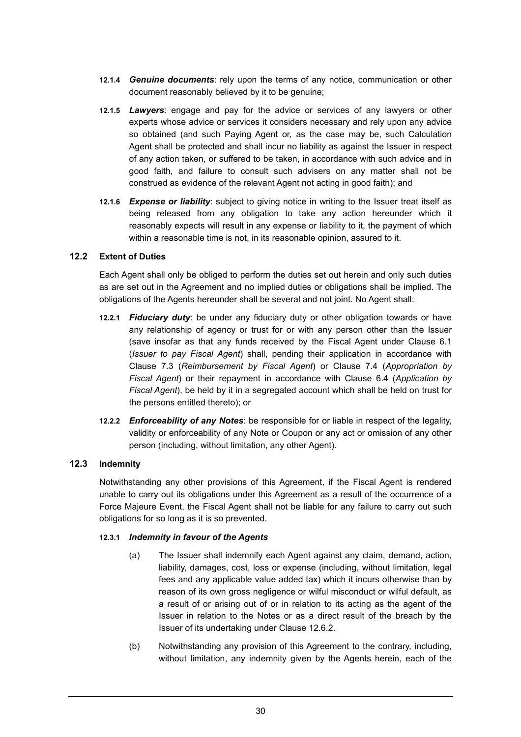- **12.1.4** *Genuine documents*: rely upon the terms of any notice, communication or other document reasonably believed by it to be genuine;
- **12.1.5** *Lawyers*: engage and pay for the advice or services of any lawyers or other experts whose advice or services it considers necessary and rely upon any advice so obtained (and such Paying Agent or, as the case may be, such Calculation Agent shall be protected and shall incur no liability as against the Issuer in respect of any action taken, or suffered to be taken, in accordance with such advice and in good faith, and failure to consult such advisers on any matter shall not be construed as evidence of the relevant Agent not acting in good faith); and
- **12.1.6** *Expense or liability*: subject to giving notice in writing to the Issuer treat itself as being released from any obligation to take any action hereunder which it reasonably expects will result in any expense or liability to it, the payment of which within a reasonable time is not, in its reasonable opinion, assured to it.

## **12.2 Extent of Duties**

Each Agent shall only be obliged to perform the duties set out herein and only such duties as are set out in the Agreement and no implied duties or obligations shall be implied. The obligations of the Agents hereunder shall be several and not joint. No Agent shall:

- **12.2.1** *Fiduciary duty*: be under any fiduciary duty or other obligation towards or have any relationship of agency or trust for or with any person other than the Issuer (save insofar as that any funds received by the Fiscal Agent under Clause 6.1 (*Issuer to pay Fiscal Agent*) shall, pending their application in accordance with Clause 7.3 (*Reimbursement by Fiscal Agent*) or Clause 7.4 (*Appropriation by Fiscal Agent*) or their repayment in accordance with Clause 6.4 (*Application by Fiscal Agent*), be held by it in a segregated account which shall be held on trust for the persons entitled thereto); or
- **12.2.2** *Enforceability of any Notes*: be responsible for or liable in respect of the legality, validity or enforceability of any Note or Coupon or any act or omission of any other person (including, without limitation, any other Agent).

## **12.3 Indemnity**

Notwithstanding any other provisions of this Agreement, if the Fiscal Agent is rendered unable to carry out its obligations under this Agreement as a result of the occurrence of a Force Majeure Event, the Fiscal Agent shall not be liable for any failure to carry out such obligations for so long as it is so prevented.

## **12.3.1** *Indemnity in favour of the Agents*

- (a) The Issuer shall indemnify each Agent against any claim, demand, action, liability, damages, cost, loss or expense (including, without limitation, legal fees and any applicable value added tax) which it incurs otherwise than by reason of its own gross negligence or wilful misconduct or wilful default, as a result of or arising out of or in relation to its acting as the agent of the Issuer in relation to the Notes or as a direct result of the breach by the Issuer of its undertaking under Clause 12.6.2.
- (b) Notwithstanding any provision of this Agreement to the contrary, including, without limitation, any indemnity given by the Agents herein, each of the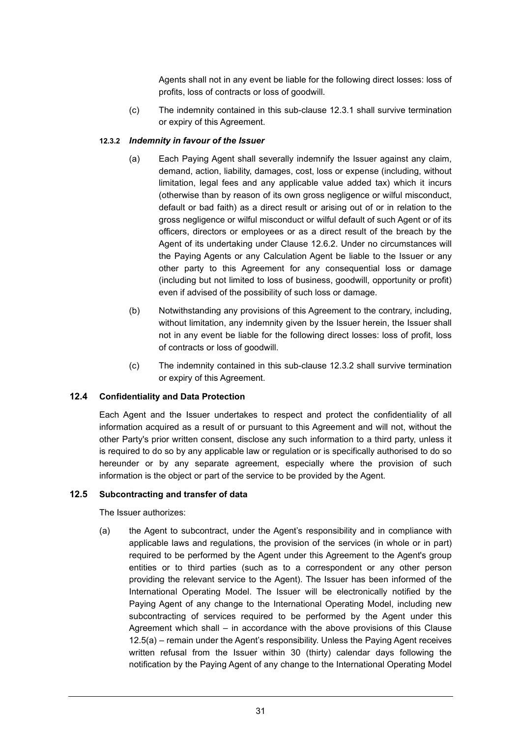Agents shall not in any event be liable for the following direct losses: loss of profits, loss of contracts or loss of goodwill.

(c) The indemnity contained in this sub-clause 12.3.1 shall survive termination or expiry of this Agreement.

# **12.3.2** *Indemnity in favour of the Issuer*

- (a) Each Paying Agent shall severally indemnify the Issuer against any claim, demand, action, liability, damages, cost, loss or expense (including, without limitation, legal fees and any applicable value added tax) which it incurs (otherwise than by reason of its own gross negligence or wilful misconduct, default or bad faith) as a direct result or arising out of or in relation to the gross negligence or wilful misconduct or wilful default of such Agent or of its officers, directors or employees or as a direct result of the breach by the Agent of its undertaking under Clause 12.6.2. Under no circumstances will the Paying Agents or any Calculation Agent be liable to the Issuer or any other party to this Agreement for any consequential loss or damage (including but not limited to loss of business, goodwill, opportunity or profit) even if advised of the possibility of such loss or damage.
- (b) Notwithstanding any provisions of this Agreement to the contrary, including, without limitation, any indemnity given by the Issuer herein, the Issuer shall not in any event be liable for the following direct losses: loss of profit, loss of contracts or loss of goodwill.
- (c) The indemnity contained in this sub-clause 12.3.2 shall survive termination or expiry of this Agreement.

## **12.4 Confidentiality and Data Protection**

Each Agent and the Issuer undertakes to respect and protect the confidentiality of all information acquired as a result of or pursuant to this Agreement and will not, without the other Party's prior written consent, disclose any such information to a third party, unless it is required to do so by any applicable law or regulation or is specifically authorised to do so hereunder or by any separate agreement, especially where the provision of such information is the object or part of the service to be provided by the Agent.

## **12.5 Subcontracting and transfer of data**

The Issuer authorizes:

(a) the Agent to subcontract, under the Agent's responsibility and in compliance with applicable laws and regulations, the provision of the services (in whole or in part) required to be performed by the Agent under this Agreement to the Agent's group entities or to third parties (such as to a correspondent or any other person providing the relevant service to the Agent). The Issuer has been informed of the International Operating Model. The Issuer will be electronically notified by the Paying Agent of any change to the International Operating Model, including new subcontracting of services required to be performed by the Agent under this Agreement which shall – in accordance with the above provisions of this Clause 12.5(a) – remain under the Agent's responsibility. Unless the Paying Agent receives written refusal from the Issuer within 30 (thirty) calendar days following the notification by the Paying Agent of any change to the International Operating Model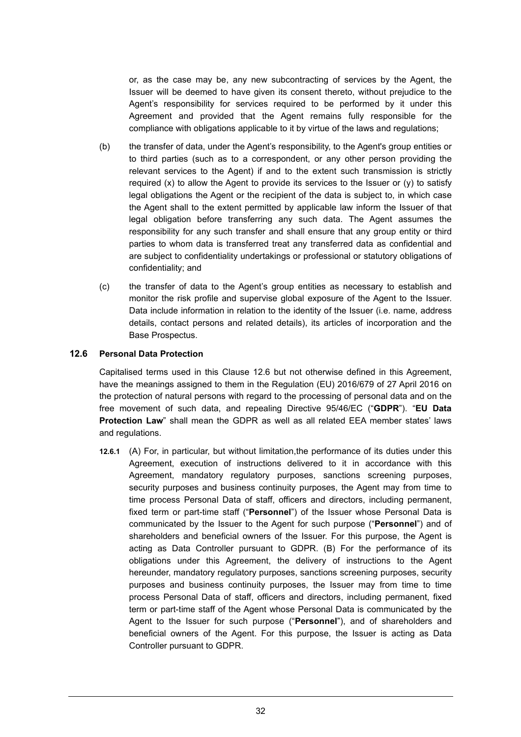or, as the case may be, any new subcontracting of services by the Agent, the Issuer will be deemed to have given its consent thereto, without prejudice to the Agent's responsibility for services required to be performed by it under this Agreement and provided that the Agent remains fully responsible for the compliance with obligations applicable to it by virtue of the laws and regulations;

- (b) the transfer of data, under the Agent's responsibility, to the Agent's group entities or to third parties (such as to a correspondent, or any other person providing the relevant services to the Agent) if and to the extent such transmission is strictly required  $(x)$  to allow the Agent to provide its services to the Issuer or  $(y)$  to satisfy legal obligations the Agent or the recipient of the data is subject to, in which case the Agent shall to the extent permitted by applicable law inform the Issuer of that legal obligation before transferring any such data. The Agent assumes the responsibility for any such transfer and shall ensure that any group entity or third parties to whom data is transferred treat any transferred data as confidential and are subject to confidentiality undertakings or professional or statutory obligations of confidentiality; and
- (c) the transfer of data to the Agent's group entities as necessary to establish and monitor the risk profile and supervise global exposure of the Agent to the Issuer. Data include information in relation to the identity of the Issuer (i.e. name, address details, contact persons and related details), its articles of incorporation and the Base Prospectus.

## **12.6 Personal Data Protection**

Capitalised terms used in this Clause 12.6 but not otherwise defined in this Agreement, have the meanings assigned to them in the Regulation (EU) 2016/679 of 27 April 2016 on the protection of natural persons with regard to the processing of personal data and on the free movement of such data, and repealing Directive 95/46/EC ("**GDPR**"). "**EU Data Protection Law**" shall mean the GDPR as well as all related EEA member states' laws and regulations.

**12.6.1** (A) For, in particular, but without limitation,the performance of its duties under this Agreement, execution of instructions delivered to it in accordance with this Agreement, mandatory regulatory purposes, sanctions screening purposes, security purposes and business continuity purposes, the Agent may from time to time process Personal Data of staff, officers and directors, including permanent, fixed term or part-time staff ("**Personnel**") of the Issuer whose Personal Data is communicated by the Issuer to the Agent for such purpose ("**Personnel**") and of shareholders and beneficial owners of the Issuer. For this purpose, the Agent is acting as Data Controller pursuant to GDPR. (B) For the performance of its obligations under this Agreement, the delivery of instructions to the Agent hereunder, mandatory regulatory purposes, sanctions screening purposes, security purposes and business continuity purposes, the Issuer may from time to time process Personal Data of staff, officers and directors, including permanent, fixed term or part-time staff of the Agent whose Personal Data is communicated by the Agent to the Issuer for such purpose ("**Personnel**"), and of shareholders and beneficial owners of the Agent. For this purpose, the Issuer is acting as Data Controller pursuant to GDPR.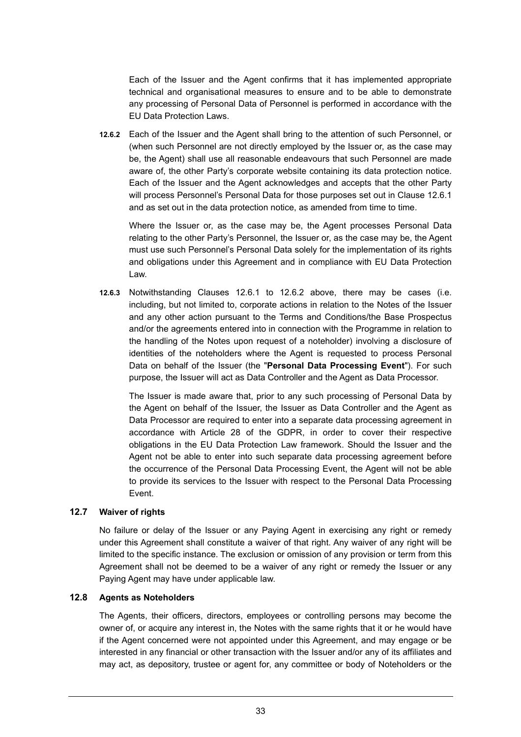Each of the Issuer and the Agent confirms that it has implemented appropriate technical and organisational measures to ensure and to be able to demonstrate any processing of Personal Data of Personnel is performed in accordance with the EU Data Protection Laws.

**12.6.2** Each of the Issuer and the Agent shall bring to the attention of such Personnel, or (when such Personnel are not directly employed by the Issuer or, as the case may be, the Agent) shall use all reasonable endeavours that such Personnel are made aware of, the other Party's corporate website containing its data protection notice. Each of the Issuer and the Agent acknowledges and accepts that the other Party will process Personnel's Personal Data for those purposes set out in Clause 12.6.1 and as set out in the data protection notice, as amended from time to time.

Where the Issuer or, as the case may be, the Agent processes Personal Data relating to the other Party's Personnel, the Issuer or, as the case may be, the Agent must use such Personnel's Personal Data solely for the implementation of its rights and obligations under this Agreement and in compliance with EU Data Protection Law.

**12.6.3** Notwithstanding Clauses 12.6.1 to 12.6.2 above, there may be cases (i.e. including, but not limited to, corporate actions in relation to the Notes of the Issuer and any other action pursuant to the Terms and Conditions/the Base Prospectus and/or the agreements entered into in connection with the Programme in relation to the handling of the Notes upon request of a noteholder) involving a disclosure of identities of the noteholders where the Agent is requested to process Personal Data on behalf of the Issuer (the "**Personal Data Processing Event**"). For such purpose, the Issuer will act as Data Controller and the Agent as Data Processor.

The Issuer is made aware that, prior to any such processing of Personal Data by the Agent on behalf of the Issuer, the Issuer as Data Controller and the Agent as Data Processor are required to enter into a separate data processing agreement in accordance with Article 28 of the GDPR, in order to cover their respective obligations in the EU Data Protection Law framework. Should the Issuer and the Agent not be able to enter into such separate data processing agreement before the occurrence of the Personal Data Processing Event, the Agent will not be able to provide its services to the Issuer with respect to the Personal Data Processing Event.

## **12.7 Waiver of rights**

No failure or delay of the Issuer or any Paying Agent in exercising any right or remedy under this Agreement shall constitute a waiver of that right. Any waiver of any right will be limited to the specific instance. The exclusion or omission of any provision or term from this Agreement shall not be deemed to be a waiver of any right or remedy the Issuer or any Paying Agent may have under applicable law.

## **12.8 Agents as Noteholders**

The Agents, their officers, directors, employees or controlling persons may become the owner of, or acquire any interest in, the Notes with the same rights that it or he would have if the Agent concerned were not appointed under this Agreement, and may engage or be interested in any financial or other transaction with the Issuer and/or any of its affiliates and may act, as depository, trustee or agent for, any committee or body of Noteholders or the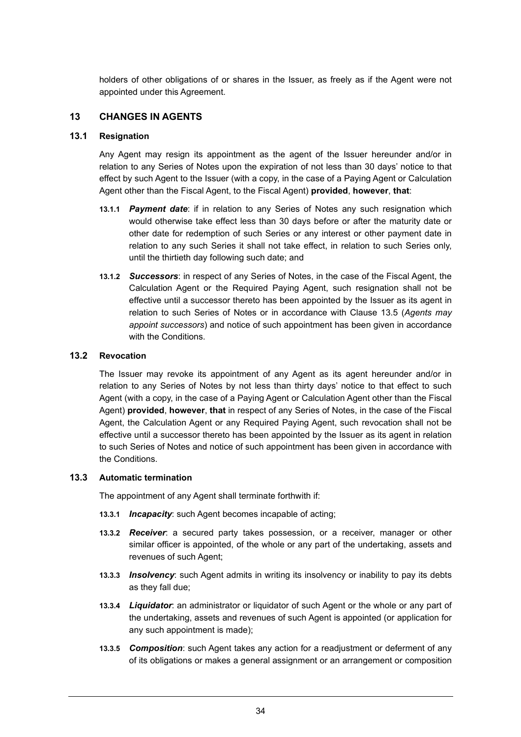holders of other obligations of or shares in the Issuer, as freely as if the Agent were not appointed under this Agreement.

## **13 CHANGES IN AGENTS**

#### **13.1 Resignation**

Any Agent may resign its appointment as the agent of the Issuer hereunder and/or in relation to any Series of Notes upon the expiration of not less than 30 days' notice to that effect by such Agent to the Issuer (with a copy, in the case of a Paying Agent or Calculation Agent other than the Fiscal Agent, to the Fiscal Agent) **provided**, **however**, **that**:

- **13.1.1** *Payment date*: if in relation to any Series of Notes any such resignation which would otherwise take effect less than 30 days before or after the maturity date or other date for redemption of such Series or any interest or other payment date in relation to any such Series it shall not take effect, in relation to such Series only, until the thirtieth day following such date; and
- **13.1.2** *Successors*: in respect of any Series of Notes, in the case of the Fiscal Agent, the Calculation Agent or the Required Paying Agent, such resignation shall not be effective until a successor thereto has been appointed by the Issuer as its agent in relation to such Series of Notes or in accordance with Clause 13.5 (*Agents may appoint successors*) and notice of such appointment has been given in accordance with the Conditions.

## **13.2 Revocation**

The Issuer may revoke its appointment of any Agent as its agent hereunder and/or in relation to any Series of Notes by not less than thirty days' notice to that effect to such Agent (with a copy, in the case of a Paying Agent or Calculation Agent other than the Fiscal Agent) **provided**, **however**, **that** in respect of any Series of Notes, in the case of the Fiscal Agent, the Calculation Agent or any Required Paying Agent, such revocation shall not be effective until a successor thereto has been appointed by the Issuer as its agent in relation to such Series of Notes and notice of such appointment has been given in accordance with the Conditions.

#### **13.3 Automatic termination**

The appointment of any Agent shall terminate forthwith if:

- **13.3.1** *Incapacity*: such Agent becomes incapable of acting;
- **13.3.2** *Receiver*: a secured party takes possession, or a receiver, manager or other similar officer is appointed, of the whole or any part of the undertaking, assets and revenues of such Agent;
- **13.3.3** *Insolvency*: such Agent admits in writing its insolvency or inability to pay its debts as they fall due;
- **13.3.4** *Liquidator*: an administrator or liquidator of such Agent or the whole or any part of the undertaking, assets and revenues of such Agent is appointed (or application for any such appointment is made);
- **13.3.5** *Composition*: such Agent takes any action for a readjustment or deferment of any of its obligations or makes a general assignment or an arrangement or composition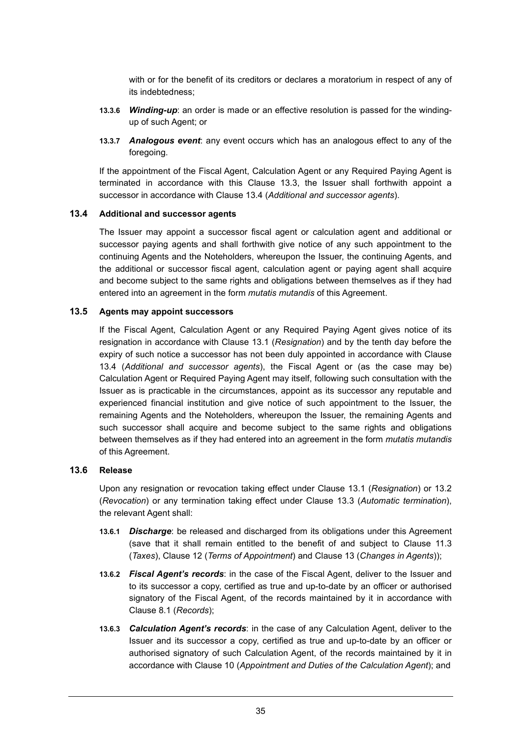with or for the benefit of its creditors or declares a moratorium in respect of any of its indebtedness;

- **13.3.6** *Winding-up*: an order is made or an effective resolution is passed for the windingup of such Agent; or
- **13.3.7** *Analogous event*: any event occurs which has an analogous effect to any of the foregoing.

If the appointment of the Fiscal Agent, Calculation Agent or any Required Paying Agent is terminated in accordance with this Clause 13.3, the Issuer shall forthwith appoint a successor in accordance with Clause 13.4 (*Additional and successor agents*).

## **13.4 Additional and successor agents**

The Issuer may appoint a successor fiscal agent or calculation agent and additional or successor paying agents and shall forthwith give notice of any such appointment to the continuing Agents and the Noteholders, whereupon the Issuer, the continuing Agents, and the additional or successor fiscal agent, calculation agent or paying agent shall acquire and become subject to the same rights and obligations between themselves as if they had entered into an agreement in the form *mutatis mutandis* of this Agreement.

#### **13.5 Agents may appoint successors**

If the Fiscal Agent, Calculation Agent or any Required Paying Agent gives notice of its resignation in accordance with Clause 13.1 (*Resignation*) and by the tenth day before the expiry of such notice a successor has not been duly appointed in accordance with Clause 13.4 (*Additional and successor agents*), the Fiscal Agent or (as the case may be) Calculation Agent or Required Paying Agent may itself, following such consultation with the Issuer as is practicable in the circumstances, appoint as its successor any reputable and experienced financial institution and give notice of such appointment to the Issuer, the remaining Agents and the Noteholders, whereupon the Issuer, the remaining Agents and such successor shall acquire and become subject to the same rights and obligations between themselves as if they had entered into an agreement in the form *mutatis mutandis* of this Agreement.

## **13.6 Release**

Upon any resignation or revocation taking effect under Clause 13.1 (*Resignation*) or 13.2 (*Revocation*) or any termination taking effect under Clause 13.3 (*Automatic termination*), the relevant Agent shall:

- **13.6.1** *Discharge*: be released and discharged from its obligations under this Agreement (save that it shall remain entitled to the benefit of and subject to Clause 11.3 (*Taxes*), Clause 12 (*Terms of Appointment*) and Clause 13 (*Changes in Agents*));
- **13.6.2** *Fiscal Agent's records*: in the case of the Fiscal Agent, deliver to the Issuer and to its successor a copy, certified as true and up-to-date by an officer or authorised signatory of the Fiscal Agent, of the records maintained by it in accordance with Clause 8.1 (*Records*);
- **13.6.3** *Calculation Agent's records*: in the case of any Calculation Agent, deliver to the Issuer and its successor a copy, certified as true and up-to-date by an officer or authorised signatory of such Calculation Agent, of the records maintained by it in accordance with Clause 10 (*Appointment and Duties of the Calculation Agent*); and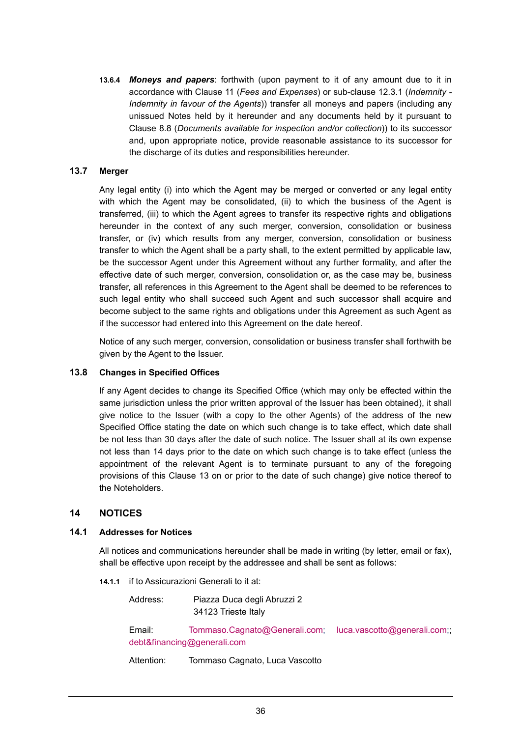**13.6.4** *Moneys and papers*: forthwith (upon payment to it of any amount due to it in accordance with Clause 11 (*Fees and Expenses*) or sub-clause 12.3.1 (*Indemnity - Indemnity in favour of the Agents*)) transfer all moneys and papers (including any unissued Notes held by it hereunder and any documents held by it pursuant to Clause 8.8 (*Documents available for inspection and/or collection*)) to its successor and, upon appropriate notice, provide reasonable assistance to its successor for the discharge of its duties and responsibilities hereunder.

## **13.7 Merger**

Any legal entity (i) into which the Agent may be merged or converted or any legal entity with which the Agent may be consolidated, (ii) to which the business of the Agent is transferred, (iii) to which the Agent agrees to transfer its respective rights and obligations hereunder in the context of any such merger, conversion, consolidation or business transfer, or (iv) which results from any merger, conversion, consolidation or business transfer to which the Agent shall be a party shall, to the extent permitted by applicable law, be the successor Agent under this Agreement without any further formality, and after the effective date of such merger, conversion, consolidation or, as the case may be, business transfer, all references in this Agreement to the Agent shall be deemed to be references to such legal entity who shall succeed such Agent and such successor shall acquire and become subject to the same rights and obligations under this Agreement as such Agent as if the successor had entered into this Agreement on the date hereof.

Notice of any such merger, conversion, consolidation or business transfer shall forthwith be given by the Agent to the Issuer.

## **13.8 Changes in Specified Offices**

If any Agent decides to change its Specified Office (which may only be effected within the same jurisdiction unless the prior written approval of the Issuer has been obtained), it shall give notice to the Issuer (with a copy to the other Agents) of the address of the new Specified Office stating the date on which such change is to take effect, which date shall be not less than 30 days after the date of such notice. The Issuer shall at its own expense not less than 14 days prior to the date on which such change is to take effect (unless the appointment of the relevant Agent is to terminate pursuant to any of the foregoing provisions of this Clause 13 on or prior to the date of such change) give notice thereof to the Noteholders.

## **14 NOTICES**

#### **14.1 Addresses for Notices**

All notices and communications hereunder shall be made in writing (by letter, email or fax), shall be effective upon receipt by the addressee and shall be sent as follows:

**14.1.1** if to Assicurazioni Generali to it at:

Address: Piazza Duca degli Abruzzi 2 34123 Trieste Italy

Email: Tommaso.Cagnato@Generali.com; luca.vascotto@generali.com;; debt&financing@generali.com

Attention: Tommaso Cagnato, Luca Vascotto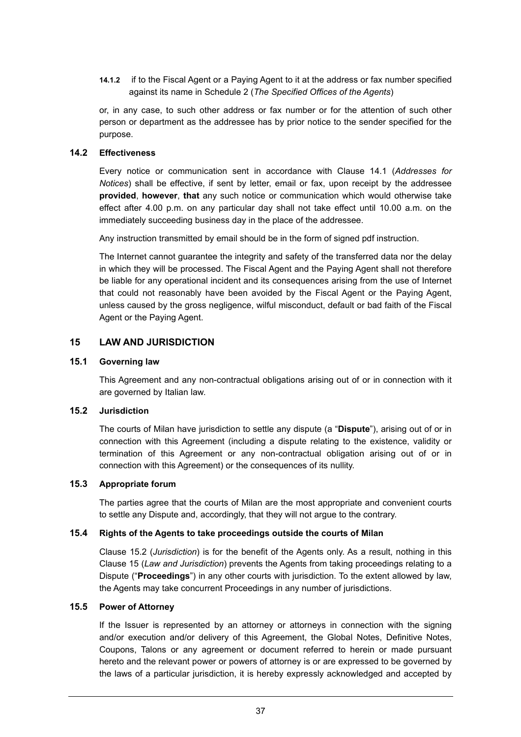**14.1.2** if to the Fiscal Agent or a Paying Agent to it at the address or fax number specified against its name in Schedule 2 (*The Specified Offices of the Agents*)

or, in any case, to such other address or fax number or for the attention of such other person or department as the addressee has by prior notice to the sender specified for the purpose.

## **14.2 Effectiveness**

Every notice or communication sent in accordance with Clause 14.1 (*Addresses for Notices*) shall be effective, if sent by letter, email or fax, upon receipt by the addressee **provided**, **however**, **that** any such notice or communication which would otherwise take effect after 4.00 p.m. on any particular day shall not take effect until 10.00 a.m. on the immediately succeeding business day in the place of the addressee.

Any instruction transmitted by email should be in the form of signed pdf instruction.

The Internet cannot guarantee the integrity and safety of the transferred data nor the delay in which they will be processed. The Fiscal Agent and the Paying Agent shall not therefore be liable for any operational incident and its consequences arising from the use of Internet that could not reasonably have been avoided by the Fiscal Agent or the Paying Agent, unless caused by the gross negligence, wilful misconduct, default or bad faith of the Fiscal Agent or the Paying Agent.

# **15 LAW AND JURISDICTION**

## **15.1 Governing law**

This Agreement and any non-contractual obligations arising out of or in connection with it are governed by Italian law.

## **15.2 Jurisdiction**

The courts of Milan have jurisdiction to settle any dispute (a "**Dispute**"), arising out of or in connection with this Agreement (including a dispute relating to the existence, validity or termination of this Agreement or any non-contractual obligation arising out of or in connection with this Agreement) or the consequences of its nullity.

## **15.3 Appropriate forum**

The parties agree that the courts of Milan are the most appropriate and convenient courts to settle any Dispute and, accordingly, that they will not argue to the contrary.

## **15.4 Rights of the Agents to take proceedings outside the courts of Milan**

Clause 15.2 (*Jurisdiction*) is for the benefit of the Agents only. As a result, nothing in this Clause 15 (*Law and Jurisdiction*) prevents the Agents from taking proceedings relating to a Dispute ("**Proceedings**") in any other courts with jurisdiction. To the extent allowed by law, the Agents may take concurrent Proceedings in any number of jurisdictions.

#### **15.5 Power of Attorney**

If the Issuer is represented by an attorney or attorneys in connection with the signing and/or execution and/or delivery of this Agreement, the Global Notes, Definitive Notes, Coupons, Talons or any agreement or document referred to herein or made pursuant hereto and the relevant power or powers of attorney is or are expressed to be governed by the laws of a particular jurisdiction, it is hereby expressly acknowledged and accepted by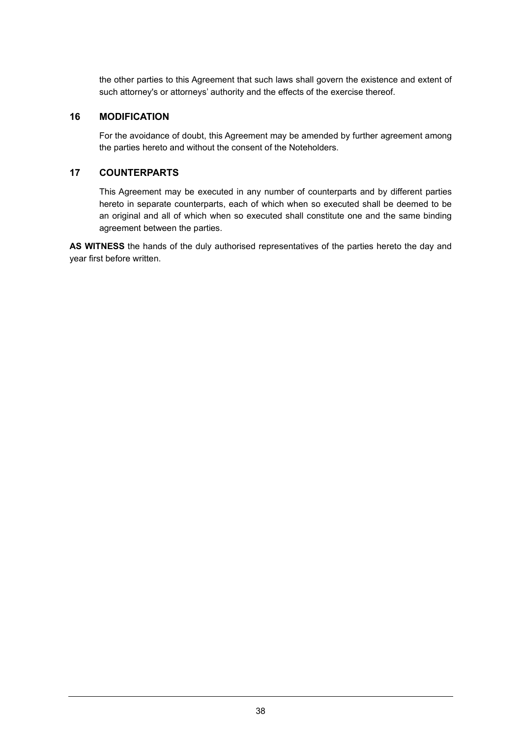the other parties to this Agreement that such laws shall govern the existence and extent of such attorney's or attorneys' authority and the effects of the exercise thereof.

## **16 MODIFICATION**

For the avoidance of doubt, this Agreement may be amended by further agreement among the parties hereto and without the consent of the Noteholders.

# **17 COUNTERPARTS**

This Agreement may be executed in any number of counterparts and by different parties hereto in separate counterparts, each of which when so executed shall be deemed to be an original and all of which when so executed shall constitute one and the same binding agreement between the parties.

**AS WITNESS** the hands of the duly authorised representatives of the parties hereto the day and year first before written.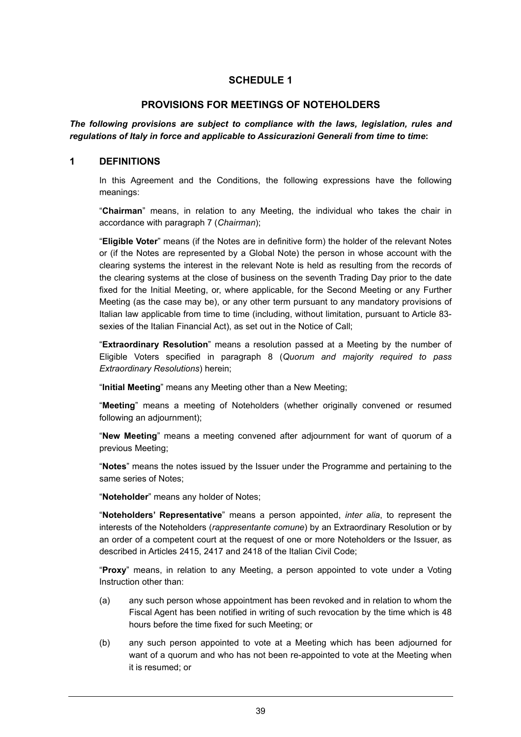## **PROVISIONS FOR MEETINGS OF NOTEHOLDERS**

*The following provisions are subject to compliance with the laws, legislation, rules and regulations of Italy in force and applicable to Assicurazioni Generali from time to time***:** 

#### **1 DEFINITIONS**

In this Agreement and the Conditions, the following expressions have the following meanings:

"**Chairman**" means, in relation to any Meeting, the individual who takes the chair in accordance with paragraph 7 (*Chairman*);

"**Eligible Voter**" means (if the Notes are in definitive form) the holder of the relevant Notes or (if the Notes are represented by a Global Note) the person in whose account with the clearing systems the interest in the relevant Note is held as resulting from the records of the clearing systems at the close of business on the seventh Trading Day prior to the date fixed for the Initial Meeting, or, where applicable, for the Second Meeting or any Further Meeting (as the case may be), or any other term pursuant to any mandatory provisions of Italian law applicable from time to time (including, without limitation, pursuant to Article 83 sexies of the Italian Financial Act), as set out in the Notice of Call;

"**Extraordinary Resolution**" means a resolution passed at a Meeting by the number of Eligible Voters specified in paragraph 8 (*Quorum and majority required to pass Extraordinary Resolutions*) herein;

"**Initial Meeting**" means any Meeting other than a New Meeting;

"**Meeting**" means a meeting of Noteholders (whether originally convened or resumed following an adjournment);

"**New Meeting**" means a meeting convened after adjournment for want of quorum of a previous Meeting;

"**Notes**" means the notes issued by the Issuer under the Programme and pertaining to the same series of Notes;

"**Noteholder**" means any holder of Notes;

"**Noteholders' Representative**" means a person appointed, *inter alia*, to represent the interests of the Noteholders (*rappresentante comune*) by an Extraordinary Resolution or by an order of a competent court at the request of one or more Noteholders or the Issuer, as described in Articles 2415, 2417 and 2418 of the Italian Civil Code;

"**Proxy**" means, in relation to any Meeting, a person appointed to vote under a Voting Instruction other than:

- (a) any such person whose appointment has been revoked and in relation to whom the Fiscal Agent has been notified in writing of such revocation by the time which is 48 hours before the time fixed for such Meeting; or
- (b) any such person appointed to vote at a Meeting which has been adjourned for want of a quorum and who has not been re-appointed to vote at the Meeting when it is resumed; or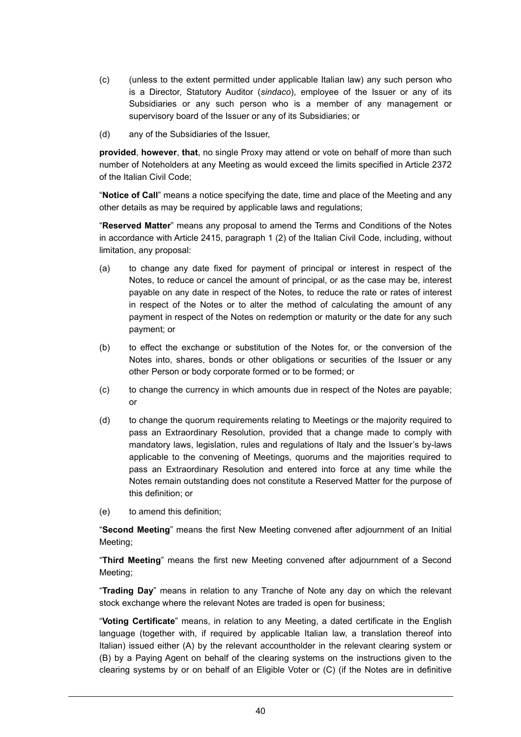- (c) (unless to the extent permitted under applicable Italian law) any such person who is a Director, Statutory Auditor (*sindaco*), employee of the Issuer or any of its Subsidiaries or any such person who is a member of any management or supervisory board of the Issuer or any of its Subsidiaries; or
- (d) any of the Subsidiaries of the Issuer,

**provided**, **however**, **that**, no single Proxy may attend or vote on behalf of more than such number of Noteholders at any Meeting as would exceed the limits specified in Article 2372 of the Italian Civil Code;

"**Notice of Call**" means a notice specifying the date, time and place of the Meeting and any other details as may be required by applicable laws and regulations;

"**Reserved Matter**" means any proposal to amend the Terms and Conditions of the Notes in accordance with Article 2415, paragraph 1 (2) of the Italian Civil Code, including, without limitation, any proposal:

- (a) to change any date fixed for payment of principal or interest in respect of the Notes, to reduce or cancel the amount of principal, or as the case may be, interest payable on any date in respect of the Notes, to reduce the rate or rates of interest in respect of the Notes or to alter the method of calculating the amount of any payment in respect of the Notes on redemption or maturity or the date for any such payment; or
- (b) to effect the exchange or substitution of the Notes for, or the conversion of the Notes into, shares, bonds or other obligations or securities of the Issuer or any other Person or body corporate formed or to be formed; or
- (c) to change the currency in which amounts due in respect of the Notes are payable; or
- (d) to change the quorum requirements relating to Meetings or the majority required to pass an Extraordinary Resolution, provided that a change made to comply with mandatory laws, legislation, rules and regulations of Italy and the Issuer's by-laws applicable to the convening of Meetings, quorums and the majorities required to pass an Extraordinary Resolution and entered into force at any time while the Notes remain outstanding does not constitute a Reserved Matter for the purpose of this definition; or
- (e) to amend this definition;

"**Second Meeting**" means the first New Meeting convened after adjournment of an Initial Meeting;

"**Third Meeting**" means the first new Meeting convened after adjournment of a Second Meeting;

"**Trading Day**" means in relation to any Tranche of Note any day on which the relevant stock exchange where the relevant Notes are traded is open for business;

"**Voting Certificate**" means, in relation to any Meeting, a dated certificate in the English language (together with, if required by applicable Italian law, a translation thereof into Italian) issued either (A) by the relevant accountholder in the relevant clearing system or (B) by a Paying Agent on behalf of the clearing systems on the instructions given to the clearing systems by or on behalf of an Eligible Voter or (C) (if the Notes are in definitive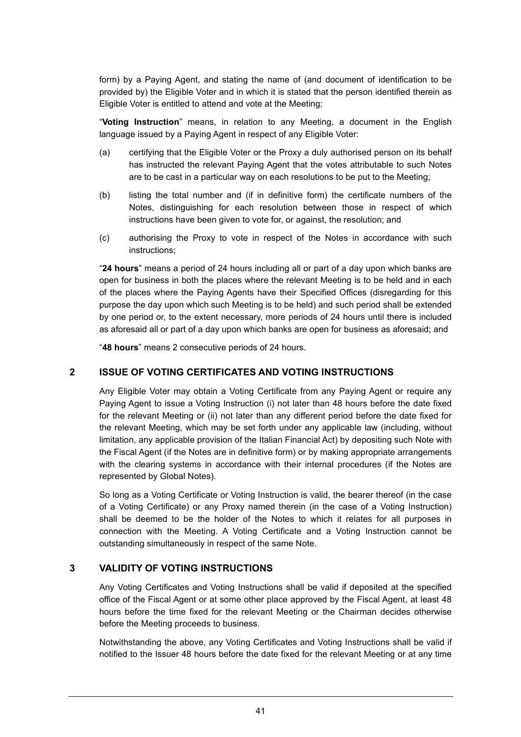form) by a Paying Agent, and stating the name of (and document of identification to be provided by) the Eligible Voter and in which it is stated that the person identified therein as Eligible Voter is entitled to attend and vote at the Meeting;

"**Voting Instruction**" means, in relation to any Meeting, a document in the English language issued by a Paying Agent in respect of any Eligible Voter:

- (a) certifying that the Eligible Voter or the Proxy a duly authorised person on its behalf has instructed the relevant Paying Agent that the votes attributable to such Notes are to be cast in a particular way on each resolutions to be put to the Meeting;
- (b) listing the total number and (if in definitive form) the certificate numbers of the Notes, distinguishing for each resolution between those in respect of which instructions have been given to vote for, or against, the resolution; and
- (c) authorising the Proxy to vote in respect of the Notes in accordance with such instructions;

"**24 hours**" means a period of 24 hours including all or part of a day upon which banks are open for business in both the places where the relevant Meeting is to be held and in each of the places where the Paying Agents have their Specified Offices (disregarding for this purpose the day upon which such Meeting is to be held) and such period shall be extended by one period or, to the extent necessary, more periods of 24 hours until there is included as aforesaid all or part of a day upon which banks are open for business as aforesaid; and

"**48 hours**" means 2 consecutive periods of 24 hours.

## **2 ISSUE OF VOTING CERTIFICATES AND VOTING INSTRUCTIONS**

Any Eligible Voter may obtain a Voting Certificate from any Paying Agent or require any Paying Agent to issue a Voting Instruction (i) not later than 48 hours before the date fixed for the relevant Meeting or (ii) not later than any different period before the date fixed for the relevant Meeting, which may be set forth under any applicable law (including, without limitation, any applicable provision of the Italian Financial Act) by depositing such Note with the Fiscal Agent (if the Notes are in definitive form) or by making appropriate arrangements with the clearing systems in accordance with their internal procedures (if the Notes are represented by Global Notes).

So long as a Voting Certificate or Voting Instruction is valid, the bearer thereof (in the case of a Voting Certificate) or any Proxy named therein (in the case of a Voting Instruction) shall be deemed to be the holder of the Notes to which it relates for all purposes in connection with the Meeting. A Voting Certificate and a Voting Instruction cannot be outstanding simultaneously in respect of the same Note.

## **3 VALIDITY OF VOTING INSTRUCTIONS**

Any Voting Certificates and Voting Instructions shall be valid if deposited at the specified office of the Fiscal Agent or at some other place approved by the Fiscal Agent, at least 48 hours before the time fixed for the relevant Meeting or the Chairman decides otherwise before the Meeting proceeds to business.

Notwithstanding the above, any Voting Certificates and Voting Instructions shall be valid if notified to the Issuer 48 hours before the date fixed for the relevant Meeting or at any time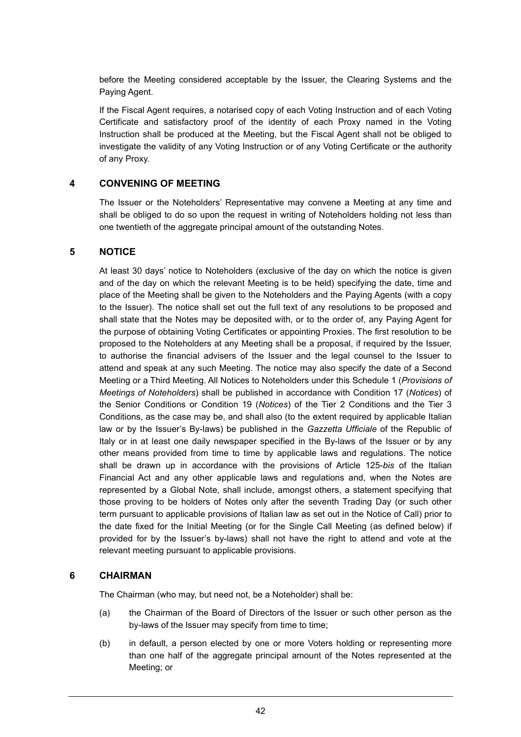before the Meeting considered acceptable by the Issuer, the Clearing Systems and the Paying Agent.

If the Fiscal Agent requires, a notarised copy of each Voting Instruction and of each Voting Certificate and satisfactory proof of the identity of each Proxy named in the Voting Instruction shall be produced at the Meeting, but the Fiscal Agent shall not be obliged to investigate the validity of any Voting Instruction or of any Voting Certificate or the authority of any Proxy.

# **4 CONVENING OF MEETING**

The Issuer or the Noteholders' Representative may convene a Meeting at any time and shall be obliged to do so upon the request in writing of Noteholders holding not less than one twentieth of the aggregate principal amount of the outstanding Notes.

## **5 NOTICE**

At least 30 days' notice to Noteholders (exclusive of the day on which the notice is given and of the day on which the relevant Meeting is to be held) specifying the date, time and place of the Meeting shall be given to the Noteholders and the Paying Agents (with a copy to the Issuer). The notice shall set out the full text of any resolutions to be proposed and shall state that the Notes may be deposited with, or to the order of, any Paying Agent for the purpose of obtaining Voting Certificates or appointing Proxies. The first resolution to be proposed to the Noteholders at any Meeting shall be a proposal, if required by the Issuer, to authorise the financial advisers of the Issuer and the legal counsel to the Issuer to attend and speak at any such Meeting. The notice may also specify the date of a Second Meeting or a Third Meeting. All Notices to Noteholders under this Schedule 1 (*Provisions of Meetings of Noteholders*) shall be published in accordance with Condition 17 (*Notices*) of the Senior Conditions or Condition 19 (*Notices*) of the Tier 2 Conditions and the Tier 3 Conditions, as the case may be, and shall also (to the extent required by applicable Italian law or by the Issuer's By-laws) be published in the *Gazzetta Ufficiale* of the Republic of Italy or in at least one daily newspaper specified in the By-laws of the Issuer or by any other means provided from time to time by applicable laws and regulations. The notice shall be drawn up in accordance with the provisions of Article 125-*bis* of the Italian Financial Act and any other applicable laws and regulations and, when the Notes are represented by a Global Note, shall include, amongst others, a statement specifying that those proving to be holders of Notes only after the seventh Trading Day (or such other term pursuant to applicable provisions of Italian law as set out in the Notice of Call) prior to the date fixed for the Initial Meeting (or for the Single Call Meeting (as defined below) if provided for by the Issuer's by-laws) shall not have the right to attend and vote at the relevant meeting pursuant to applicable provisions.

## **6 CHAIRMAN**

The Chairman (who may, but need not, be a Noteholder) shall be:

- (a) the Chairman of the Board of Directors of the Issuer or such other person as the by-laws of the Issuer may specify from time to time;
- (b) in default, a person elected by one or more Voters holding or representing more than one half of the aggregate principal amount of the Notes represented at the Meeting; or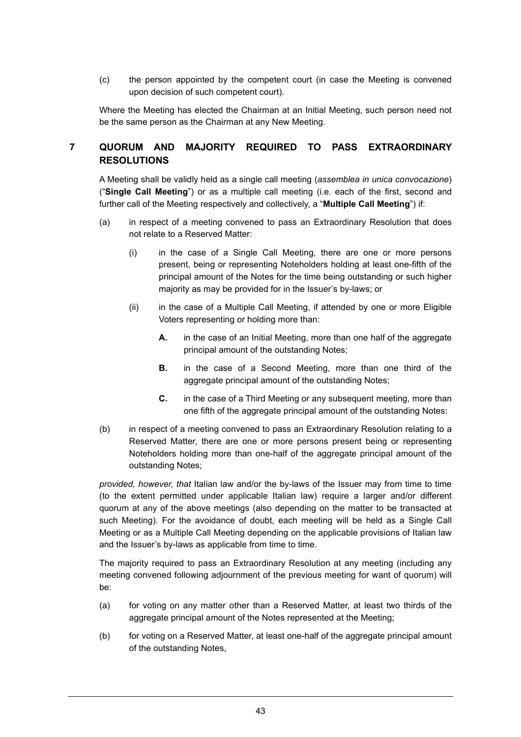(c) the person appointed by the competent court (in case the Meeting is convened upon decision of such competent court).

Where the Meeting has elected the Chairman at an Initial Meeting, such person need not be the same person as the Chairman at any New Meeting.

# **7 QUORUM AND MAJORITY REQUIRED TO PASS EXTRAORDINARY RESOLUTIONS**

A Meeting shall be validly held as a single call meeting (*assemblea in unica convocazione*) ("**Single Call Meeting**") or as a multiple call meeting (i.e. each of the first, second and further call of the Meeting respectively and collectively, a "**Multiple Call Meeting**") if:

- (a) in respect of a meeting convened to pass an Extraordinary Resolution that does not relate to a Reserved Matter:
	- (i) in the case of a Single Call Meeting, there are one or more persons present, being or representing Noteholders holding at least one-fifth of the principal amount of the Notes for the time being outstanding or such higher majority as may be provided for in the Issuer's by-laws; or
	- (ii) in the case of a Multiple Call Meeting, if attended by one or more Eligible Voters representing or holding more than:
		- **A.** in the case of an Initial Meeting, more than one half of the aggregate principal amount of the outstanding Notes;
		- **B.** in the case of a Second Meeting, more than one third of the agaregate principal amount of the outstanding Notes;
		- **C.** in the case of a Third Meeting or any subsequent meeting, more than one fifth of the aggregate principal amount of the outstanding Notes:
- (b) in respect of a meeting convened to pass an Extraordinary Resolution relating to a Reserved Matter, there are one or more persons present being or representing Noteholders holding more than one-half of the aggregate principal amount of the outstanding Notes;

*provided, however, that* Italian law and/or the by-laws of the Issuer may from time to time (to the extent permitted under applicable Italian law) require a larger and/or different quorum at any of the above meetings (also depending on the matter to be transacted at such Meeting). For the avoidance of doubt, each meeting will be held as a Single Call Meeting or as a Multiple Call Meeting depending on the applicable provisions of Italian law and the Issuer's by-laws as applicable from time to time.

The majority required to pass an Extraordinary Resolution at any meeting (including any meeting convened following adjournment of the previous meeting for want of quorum) will be:

- (a) for voting on any matter other than a Reserved Matter, at least two thirds of the aggregate principal amount of the Notes represented at the Meeting;
- (b) for voting on a Reserved Matter, at least one-half of the aggregate principal amount of the outstanding Notes,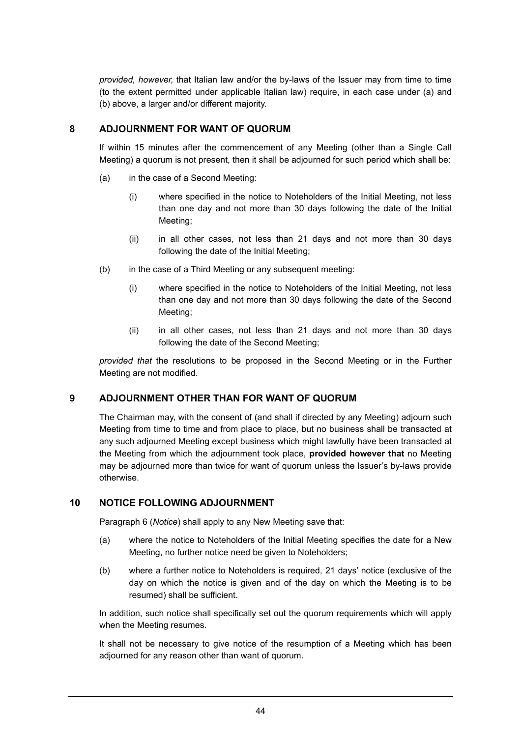*provided, however,* that Italian law and/or the by-laws of the Issuer may from time to time (to the extent permitted under applicable Italian law) require, in each case under (a) and (b) above, a larger and/or different majority.

# **8 ADJOURNMENT FOR WANT OF QUORUM**

If within 15 minutes after the commencement of any Meeting (other than a Single Call Meeting) a quorum is not present, then it shall be adjourned for such period which shall be:

- (a) in the case of a Second Meeting:
	- (i) where specified in the notice to Noteholders of the Initial Meeting, not less than one day and not more than 30 days following the date of the Initial Meeting;
	- (ii) in all other cases, not less than 21 days and not more than 30 days following the date of the Initial Meeting;
- (b) in the case of a Third Meeting or any subsequent meeting:
	- (i) where specified in the notice to Noteholders of the Initial Meeting, not less than one day and not more than 30 days following the date of the Second Meeting;
	- (ii) in all other cases, not less than 21 days and not more than 30 days following the date of the Second Meeting;

*provided that* the resolutions to be proposed in the Second Meeting or in the Further Meeting are not modified.

# **9 ADJOURNMENT OTHER THAN FOR WANT OF QUORUM**

The Chairman may, with the consent of (and shall if directed by any Meeting) adjourn such Meeting from time to time and from place to place, but no business shall be transacted at any such adjourned Meeting except business which might lawfully have been transacted at the Meeting from which the adjournment took place, **provided however that** no Meeting may be adjourned more than twice for want of quorum unless the Issuer's by-laws provide otherwise.

# **10 NOTICE FOLLOWING ADJOURNMENT**

Paragraph 6 (*Notice*) shall apply to any New Meeting save that:

- (a) where the notice to Noteholders of the Initial Meeting specifies the date for a New Meeting, no further notice need be given to Noteholders;
- (b) where a further notice to Noteholders is required, 21 days' notice (exclusive of the day on which the notice is given and of the day on which the Meeting is to be resumed) shall be sufficient.

In addition, such notice shall specifically set out the quorum requirements which will apply when the Meeting resumes.

It shall not be necessary to give notice of the resumption of a Meeting which has been adjourned for any reason other than want of quorum.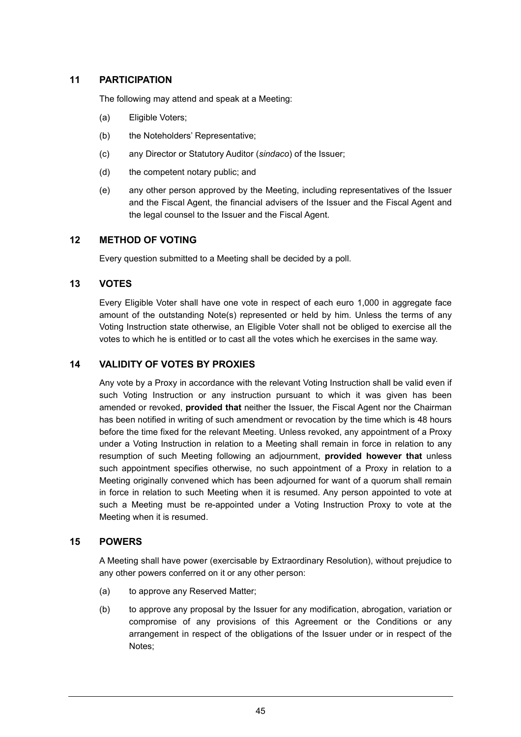# **11 PARTICIPATION**

The following may attend and speak at a Meeting:

- (a) Eligible Voters;
- (b) the Noteholders' Representative:
- (c) any Director or Statutory Auditor (*sindaco*) of the Issuer;
- (d) the competent notary public; and
- (e) any other person approved by the Meeting, including representatives of the Issuer and the Fiscal Agent, the financial advisers of the Issuer and the Fiscal Agent and the legal counsel to the Issuer and the Fiscal Agent.

# **12 METHOD OF VOTING**

Every question submitted to a Meeting shall be decided by a poll.

## **13 VOTES**

Every Eligible Voter shall have one vote in respect of each euro 1,000 in aggregate face amount of the outstanding Note(s) represented or held by him. Unless the terms of any Voting Instruction state otherwise, an Eligible Voter shall not be obliged to exercise all the votes to which he is entitled or to cast all the votes which he exercises in the same way.

## **14 VALIDITY OF VOTES BY PROXIES**

Any vote by a Proxy in accordance with the relevant Voting Instruction shall be valid even if such Voting Instruction or any instruction pursuant to which it was given has been amended or revoked, **provided that** neither the Issuer, the Fiscal Agent nor the Chairman has been notified in writing of such amendment or revocation by the time which is 48 hours before the time fixed for the relevant Meeting. Unless revoked, any appointment of a Proxy under a Voting Instruction in relation to a Meeting shall remain in force in relation to any resumption of such Meeting following an adjournment, **provided however that** unless such appointment specifies otherwise, no such appointment of a Proxy in relation to a Meeting originally convened which has been adjourned for want of a quorum shall remain in force in relation to such Meeting when it is resumed. Any person appointed to vote at such a Meeting must be re-appointed under a Voting Instruction Proxy to vote at the Meeting when it is resumed.

## **15 POWERS**

A Meeting shall have power (exercisable by Extraordinary Resolution), without prejudice to any other powers conferred on it or any other person:

- (a) to approve any Reserved Matter;
- (b) to approve any proposal by the Issuer for any modification, abrogation, variation or compromise of any provisions of this Agreement or the Conditions or any arrangement in respect of the obligations of the Issuer under or in respect of the Notes;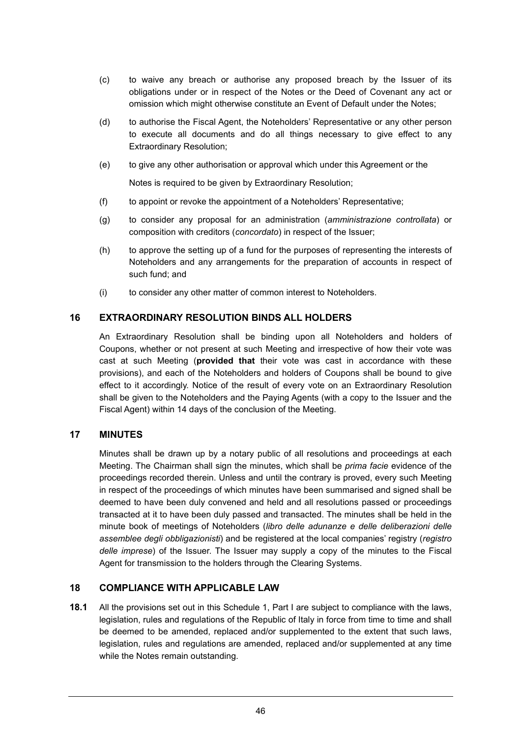- (c) to waive any breach or authorise any proposed breach by the Issuer of its obligations under or in respect of the Notes or the Deed of Covenant any act or omission which might otherwise constitute an Event of Default under the Notes;
- (d) to authorise the Fiscal Agent, the Noteholders' Representative or any other person to execute all documents and do all things necessary to give effect to any Extraordinary Resolution;
- (e) to give any other authorisation or approval which under this Agreement or the

Notes is required to be given by Extraordinary Resolution;

- (f) to appoint or revoke the appointment of a Noteholders' Representative;
- (g) to consider any proposal for an administration (*amministrazione controllata*) or composition with creditors (*concordato*) in respect of the Issuer;
- (h) to approve the setting up of a fund for the purposes of representing the interests of Noteholders and any arrangements for the preparation of accounts in respect of such fund; and
- (i) to consider any other matter of common interest to Noteholders.

# **16 EXTRAORDINARY RESOLUTION BINDS ALL HOLDERS**

An Extraordinary Resolution shall be binding upon all Noteholders and holders of Coupons, whether or not present at such Meeting and irrespective of how their vote was cast at such Meeting (**provided that** their vote was cast in accordance with these provisions), and each of the Noteholders and holders of Coupons shall be bound to give effect to it accordingly. Notice of the result of every vote on an Extraordinary Resolution shall be given to the Noteholders and the Paying Agents (with a copy to the Issuer and the Fiscal Agent) within 14 days of the conclusion of the Meeting.

# **17 MINUTES**

Minutes shall be drawn up by a notary public of all resolutions and proceedings at each Meeting. The Chairman shall sign the minutes, which shall be *prima facie* evidence of the proceedings recorded therein. Unless and until the contrary is proved, every such Meeting in respect of the proceedings of which minutes have been summarised and signed shall be deemed to have been duly convened and held and all resolutions passed or proceedings transacted at it to have been duly passed and transacted. The minutes shall be held in the minute book of meetings of Noteholders (*libro delle adunanze e delle deliberazioni delle assemblee degli obbligazionisti*) and be registered at the local companies' registry (*registro delle imprese*) of the Issuer. The Issuer may supply a copy of the minutes to the Fiscal Agent for transmission to the holders through the Clearing Systems.

# **18 COMPLIANCE WITH APPLICABLE LAW**

**18.1** All the provisions set out in this Schedule 1, Part I are subject to compliance with the laws, legislation, rules and regulations of the Republic of Italy in force from time to time and shall be deemed to be amended, replaced and/or supplemented to the extent that such laws, legislation, rules and regulations are amended, replaced and/or supplemented at any time while the Notes remain outstanding.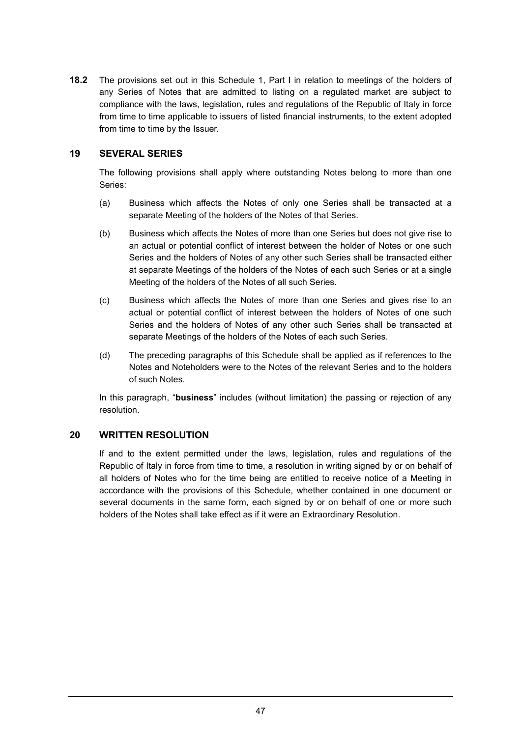**18.2** The provisions set out in this Schedule 1, Part I in relation to meetings of the holders of any Series of Notes that are admitted to listing on a regulated market are subject to compliance with the laws, legislation, rules and regulations of the Republic of Italy in force from time to time applicable to issuers of listed financial instruments, to the extent adopted from time to time by the Issuer.

# **19 SEVERAL SERIES**

The following provisions shall apply where outstanding Notes belong to more than one Series:

- (a) Business which affects the Notes of only one Series shall be transacted at a separate Meeting of the holders of the Notes of that Series.
- (b) Business which affects the Notes of more than one Series but does not give rise to an actual or potential conflict of interest between the holder of Notes or one such Series and the holders of Notes of any other such Series shall be transacted either at separate Meetings of the holders of the Notes of each such Series or at a single Meeting of the holders of the Notes of all such Series.
- (c) Business which affects the Notes of more than one Series and gives rise to an actual or potential conflict of interest between the holders of Notes of one such Series and the holders of Notes of any other such Series shall be transacted at separate Meetings of the holders of the Notes of each such Series.
- (d) The preceding paragraphs of this Schedule shall be applied as if references to the Notes and Noteholders were to the Notes of the relevant Series and to the holders of such Notes.

In this paragraph, "**business**" includes (without limitation) the passing or rejection of any resolution.

# **20 WRITTEN RESOLUTION**

If and to the extent permitted under the laws, legislation, rules and regulations of the Republic of Italy in force from time to time, a resolution in writing signed by or on behalf of all holders of Notes who for the time being are entitled to receive notice of a Meeting in accordance with the provisions of this Schedule, whether contained in one document or several documents in the same form, each signed by or on behalf of one or more such holders of the Notes shall take effect as if it were an Extraordinary Resolution.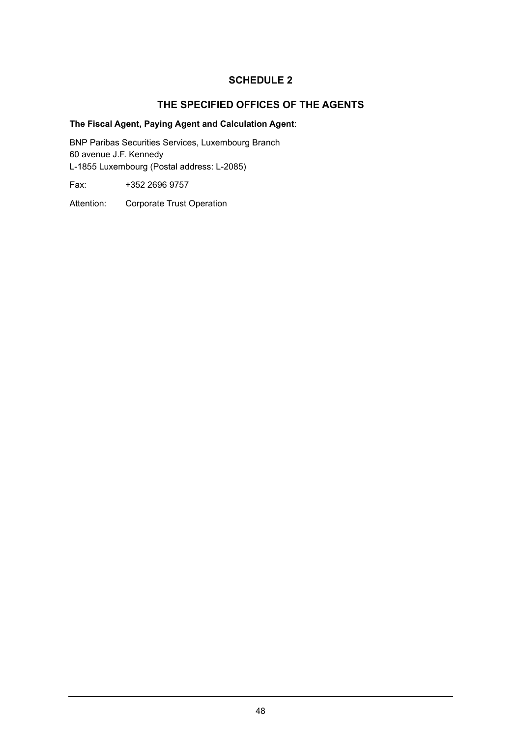# **THE SPECIFIED OFFICES OF THE AGENTS**

# **The Fiscal Agent, Paying Agent and Calculation Agent**:

BNP Paribas Securities Services, Luxembourg Branch 60 avenue J.F. Kennedy L-1855 Luxembourg (Postal address: L-2085)

Fax: +352 2696 9757

Attention: Corporate Trust Operation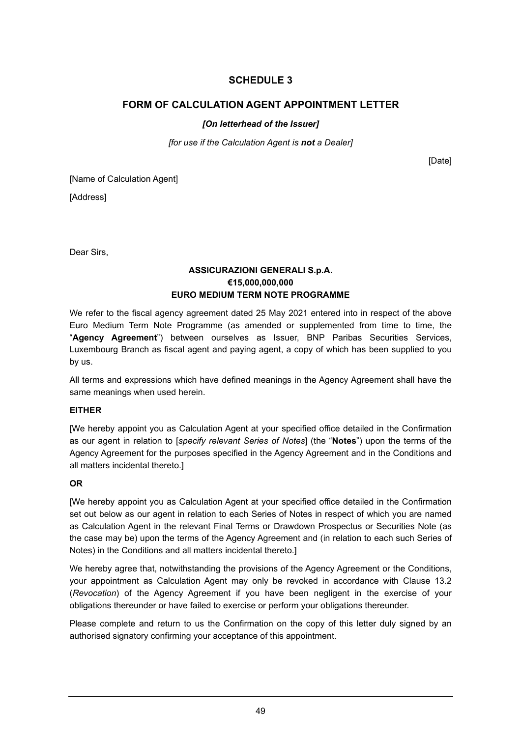# **FORM OF CALCULATION AGENT APPOINTMENT LETTER**

# *[On letterhead of the Issuer]*

*[for use if the Calculation Agent is not a Dealer]* 

[Date]

[Name of Calculation Agent]

[Address]

Dear Sirs,

## **ASSICURAZIONI GENERALI S.p.A. €15,000,000,000 EURO MEDIUM TERM NOTE PROGRAMME**

We refer to the fiscal agency agreement dated 25 May 2021 entered into in respect of the above Euro Medium Term Note Programme (as amended or supplemented from time to time, the "**Agency Agreement**") between ourselves as Issuer, BNP Paribas Securities Services, Luxembourg Branch as fiscal agent and paying agent, a copy of which has been supplied to you by us.

All terms and expressions which have defined meanings in the Agency Agreement shall have the same meanings when used herein.

## **EITHER**

[We hereby appoint you as Calculation Agent at your specified office detailed in the Confirmation as our agent in relation to [*specify relevant Series of Notes*] (the "**Notes**") upon the terms of the Agency Agreement for the purposes specified in the Agency Agreement and in the Conditions and all matters incidental thereto.]

# **OR**

[We hereby appoint you as Calculation Agent at your specified office detailed in the Confirmation set out below as our agent in relation to each Series of Notes in respect of which you are named as Calculation Agent in the relevant Final Terms or Drawdown Prospectus or Securities Note (as the case may be) upon the terms of the Agency Agreement and (in relation to each such Series of Notes) in the Conditions and all matters incidental thereto.]

We hereby agree that, notwithstanding the provisions of the Agency Agreement or the Conditions, your appointment as Calculation Agent may only be revoked in accordance with Clause 13.2 (*Revocation*) of the Agency Agreement if you have been negligent in the exercise of your obligations thereunder or have failed to exercise or perform your obligations thereunder.

Please complete and return to us the Confirmation on the copy of this letter duly signed by an authorised signatory confirming your acceptance of this appointment.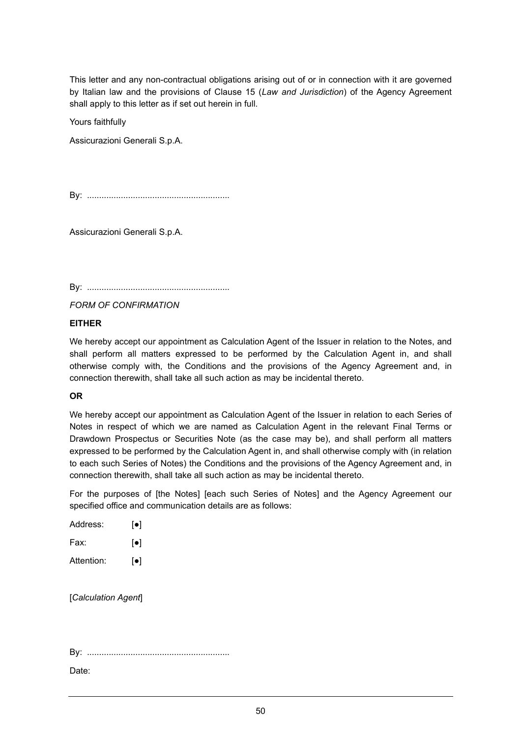This letter and any non-contractual obligations arising out of or in connection with it are governed by Italian law and the provisions of Clause 15 (*Law and Jurisdiction*) of the Agency Agreement shall apply to this letter as if set out herein in full.

Yours faithfully

Assicurazioni Generali S.p.A.

By: ...........................................................

Assicurazioni Generali S.p.A.

By: ...........................................................

*FORM OF CONFIRMATION*

## **EITHER**

We hereby accept our appointment as Calculation Agent of the Issuer in relation to the Notes, and shall perform all matters expressed to be performed by the Calculation Agent in, and shall otherwise comply with, the Conditions and the provisions of the Agency Agreement and, in connection therewith, shall take all such action as may be incidental thereto.

## **OR**

We hereby accept our appointment as Calculation Agent of the Issuer in relation to each Series of Notes in respect of which we are named as Calculation Agent in the relevant Final Terms or Drawdown Prospectus or Securities Note (as the case may be), and shall perform all matters expressed to be performed by the Calculation Agent in, and shall otherwise comply with (in relation to each such Series of Notes) the Conditions and the provisions of the Agency Agreement and, in connection therewith, shall take all such action as may be incidental thereto.

For the purposes of [the Notes] [each such Series of Notes] and the Agency Agreement our specified office and communication details are as follows:

| Address:   | $\lceil \bullet \rceil$ |
|------------|-------------------------|
| Fax:       | $\lceil \bullet \rceil$ |
| Attention: | $\lceil \bullet \rceil$ |

[*Calculation Agent*]

By: ...........................................................

Date: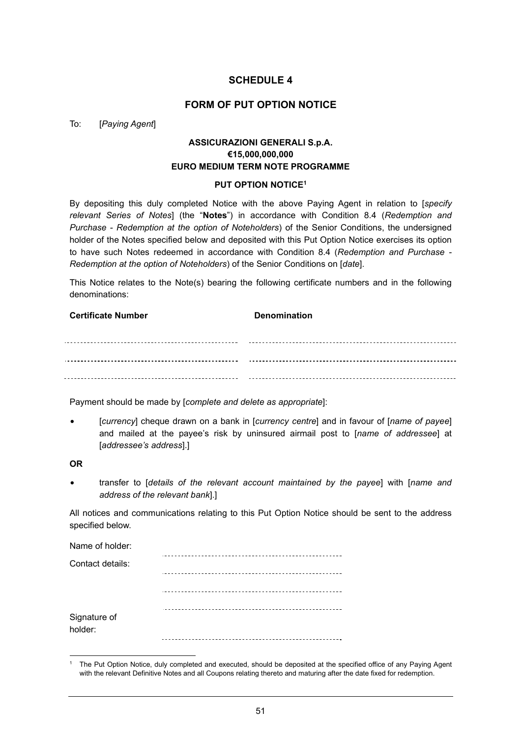## **FORM OF PUT OPTION NOTICE**

#### To: [*Paying Agent*]

# **ASSICURAZIONI GENERALI S.p.A. €15,000,000,000 EURO MEDIUM TERM NOTE PROGRAMME**

#### **PUT OPTION NOTICE1**

By depositing this duly completed Notice with the above Paying Agent in relation to [*specify relevant Series of Notes*] (the "**Notes**") in accordance with Condition 8.4 (*Redemption and Purchase - Redemption at the option of Noteholders*) of the Senior Conditions, the undersigned holder of the Notes specified below and deposited with this Put Option Notice exercises its option to have such Notes redeemed in accordance with Condition 8.4 (*Redemption and Purchase - Redemption at the option of Noteholders*) of the Senior Conditions on [*date*].

This Notice relates to the Note(s) bearing the following certificate numbers and in the following denominations:

**Certificate Number Certificate Number** 

Payment should be made by [*complete and delete as appropriate*]:

• [*currency*] cheque drawn on a bank in [*currency centre*] and in favour of [*name of payee*] and mailed at the payee's risk by uninsured airmail post to [*name of addressee*] at [*addressee's address*].]

#### **OR**

• transfer to [*details of the relevant account maintained by the payee*] with [*name and address of the relevant bank*].]

All notices and communications relating to this Put Option Notice should be sent to the address specified below.

| Name of holder:         |  |
|-------------------------|--|
| Contact details:        |  |
|                         |  |
|                         |  |
| Signature of<br>holder: |  |
|                         |  |

<sup>1</sup> The Put Option Notice, duly completed and executed, should be deposited at the specified office of any Paying Agent with the relevant Definitive Notes and all Coupons relating thereto and maturing after the date fixed for redemption.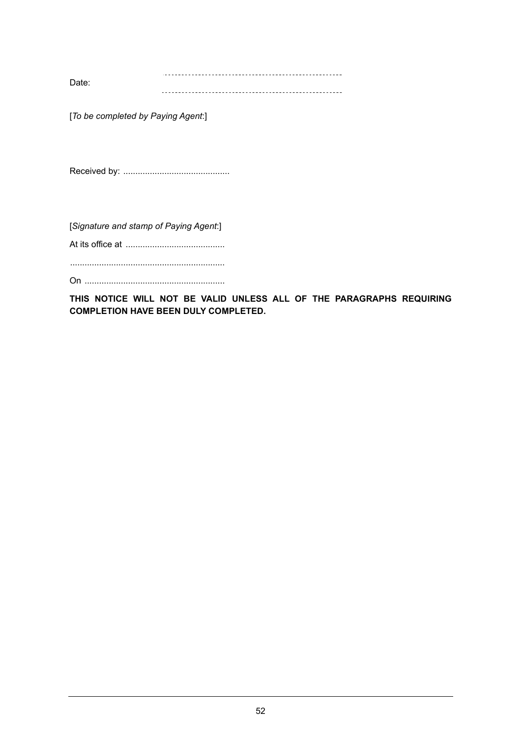Date: 

[*To be completed by Paying Agent*:]

Received by: ............................................

[*Signature and stamp of Paying Agent*:]

At its office at .........................................

................................................................

On ..........................................................

**THIS NOTICE WILL NOT BE VALID UNLESS ALL OF THE PARAGRAPHS REQUIRING COMPLETION HAVE BEEN DULY COMPLETED.**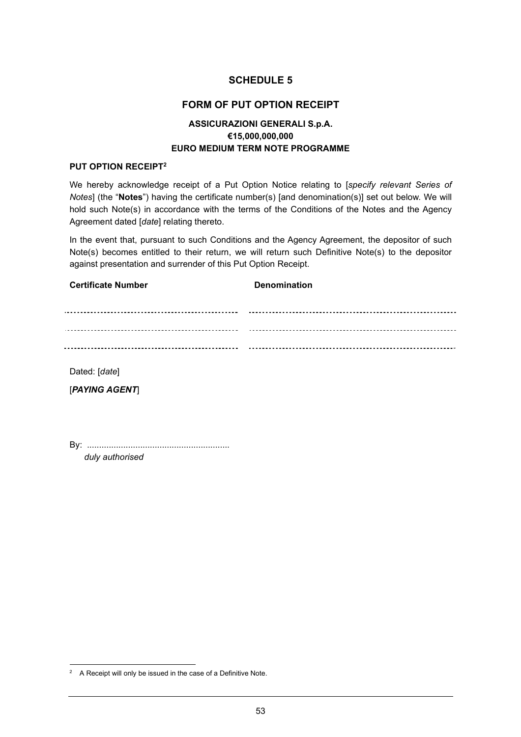# **FORM OF PUT OPTION RECEIPT**

# **ASSICURAZIONI GENERALI S.p.A. €15,000,000,000 EURO MEDIUM TERM NOTE PROGRAMME**

#### **PUT OPTION RECEIPT2**

We hereby acknowledge receipt of a Put Option Notice relating to [*specify relevant Series of Notes*] (the "**Notes**") having the certificate number(s) [and denomination(s)] set out below. We will hold such Note(s) in accordance with the terms of the Conditions of the Notes and the Agency Agreement dated [*date*] relating thereto.

In the event that, pursuant to such Conditions and the Agency Agreement, the depositor of such Note(s) becomes entitled to their return, we will return such Definitive Note(s) to the depositor against presentation and surrender of this Put Option Receipt.

| <b>Certificate Number</b> | <b>Denomination</b> |
|---------------------------|---------------------|
| .                         |                     |
|                           |                     |
|                           |                     |
|                           |                     |

Dated: [*date*]

[*PAYING AGENT*]

By: ........................................................... *duly authorised* 

 $2^2$  A Receipt will only be issued in the case of a Definitive Note.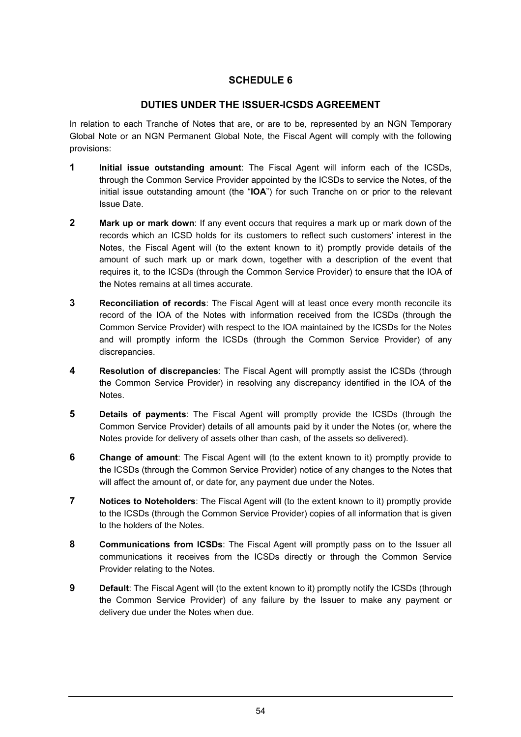# **DUTIES UNDER THE ISSUER-ICSDS AGREEMENT**

In relation to each Tranche of Notes that are, or are to be, represented by an NGN Temporary Global Note or an NGN Permanent Global Note, the Fiscal Agent will comply with the following provisions:

- **1 Initial issue outstanding amount**: The Fiscal Agent will inform each of the ICSDs, through the Common Service Provider appointed by the ICSDs to service the Notes, of the initial issue outstanding amount (the "**IOA**") for such Tranche on or prior to the relevant Issue Date.
- **2 Mark up or mark down**: If any event occurs that requires a mark up or mark down of the records which an ICSD holds for its customers to reflect such customers' interest in the Notes, the Fiscal Agent will (to the extent known to it) promptly provide details of the amount of such mark up or mark down, together with a description of the event that requires it, to the ICSDs (through the Common Service Provider) to ensure that the IOA of the Notes remains at all times accurate.
- **3 Reconciliation of records**: The Fiscal Agent will at least once every month reconcile its record of the IOA of the Notes with information received from the ICSDs (through the Common Service Provider) with respect to the IOA maintained by the ICSDs for the Notes and will promptly inform the ICSDs (through the Common Service Provider) of any discrepancies.
- **4 Resolution of discrepancies**: The Fiscal Agent will promptly assist the ICSDs (through the Common Service Provider) in resolving any discrepancy identified in the IOA of the Notes.
- **5** Details of payments: The Fiscal Agent will promptly provide the ICSDs (through the Common Service Provider) details of all amounts paid by it under the Notes (or, where the Notes provide for delivery of assets other than cash, of the assets so delivered).
- **6** Change of amount: The Fiscal Agent will (to the extent known to it) promptly provide to the ICSDs (through the Common Service Provider) notice of any changes to the Notes that will affect the amount of, or date for, any payment due under the Notes.
- **7** Notices to Noteholders: The Fiscal Agent will (to the extent known to it) promptly provide to the ICSDs (through the Common Service Provider) copies of all information that is given to the holders of the Notes.
- **8 Communications from ICSDs**: The Fiscal Agent will promptly pass on to the Issuer all communications it receives from the ICSDs directly or through the Common Service Provider relating to the Notes.
- **9** Default: The Fiscal Agent will (to the extent known to it) promptly notify the ICSDs (through the Common Service Provider) of any failure by the Issuer to make any payment or delivery due under the Notes when due.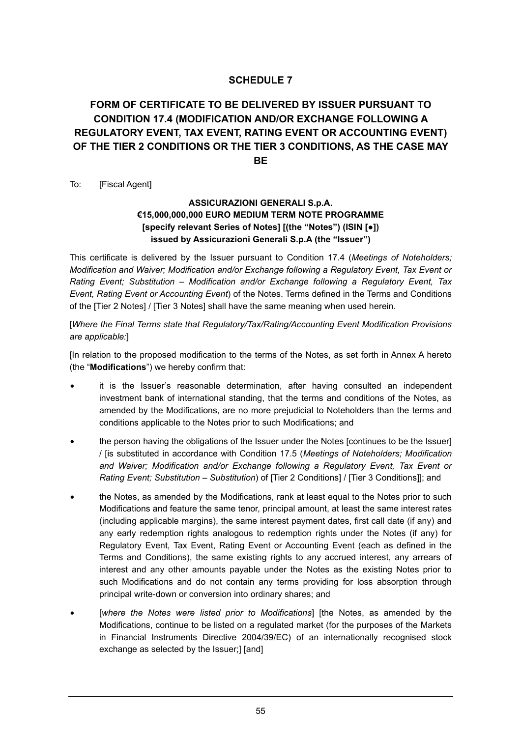# **FORM OF CERTIFICATE TO BE DELIVERED BY ISSUER PURSUANT TO CONDITION 17.4 (MODIFICATION AND/OR EXCHANGE FOLLOWING A REGULATORY EVENT, TAX EVENT, RATING EVENT OR ACCOUNTING EVENT) OF THE TIER 2 CONDITIONS OR THE TIER 3 CONDITIONS, AS THE CASE MAY BE**

To: [Fiscal Agent]

# **ASSICURAZIONI GENERALI S.p.A. €15,000,000,000 EURO MEDIUM TERM NOTE PROGRAMME [specify relevant Series of Notes] [(the "Notes") (ISIN [●]) issued by Assicurazioni Generali S.p.A (the "Issuer")**

This certificate is delivered by the Issuer pursuant to Condition 17.4 (*Meetings of Noteholders; Modification and Waiver; Modification and/or Exchange following a Regulatory Event, Tax Event or Rating Event; Substitution – Modification and/or Exchange following a Regulatory Event, Tax Event, Rating Event or Accounting Event*) of the Notes. Terms defined in the Terms and Conditions of the [Tier 2 Notes] / [Tier 3 Notes] shall have the same meaning when used herein.

[*Where the Final Terms state that Regulatory/Tax/Rating/Accounting Event Modification Provisions are applicable:*]

[In relation to the proposed modification to the terms of the Notes, as set forth in Annex A hereto (the "**Modifications**") we hereby confirm that:

- it is the Issuer's reasonable determination, after having consulted an independent investment bank of international standing, that the terms and conditions of the Notes, as amended by the Modifications, are no more prejudicial to Noteholders than the terms and conditions applicable to the Notes prior to such Modifications; and
- the person having the obligations of the Issuer under the Notes [continues to be the Issuer] / [is substituted in accordance with Condition 17.5 (*Meetings of Noteholders; Modification and Waiver; Modification and/or Exchange following a Regulatory Event, Tax Event or Rating Event; Substitution – Substitution*) of [Tier 2 Conditions] / [Tier 3 Conditions]]; and
- the Notes, as amended by the Modifications, rank at least equal to the Notes prior to such Modifications and feature the same tenor, principal amount, at least the same interest rates (including applicable margins), the same interest payment dates, first call date (if any) and any early redemption rights analogous to redemption rights under the Notes (if any) for Regulatory Event, Tax Event, Rating Event or Accounting Event (each as defined in the Terms and Conditions), the same existing rights to any accrued interest, any arrears of interest and any other amounts payable under the Notes as the existing Notes prior to such Modifications and do not contain any terms providing for loss absorption through principal write-down or conversion into ordinary shares; and
- [where the Notes were listed prior to Modifications] [the Notes, as amended by the Modifications, continue to be listed on a regulated market (for the purposes of the Markets in Financial Instruments Directive 2004/39/EC) of an internationally recognised stock exchange as selected by the Issuer;] [and]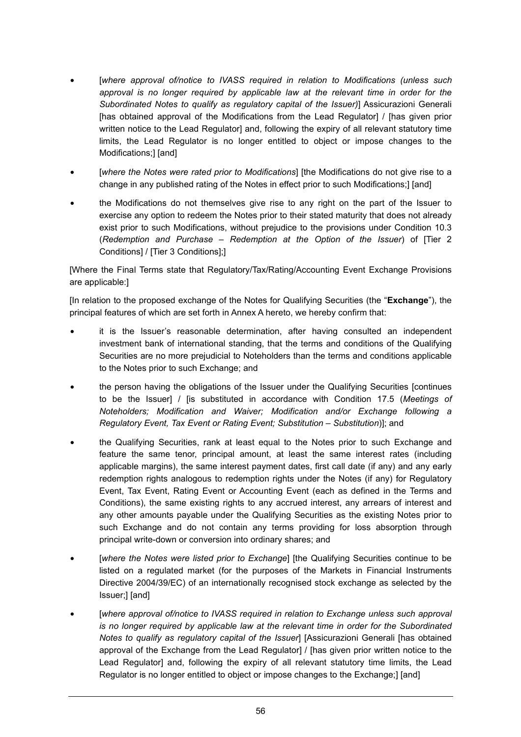- [*where approval of/notice to IVASS required in relation to Modifications (unless such approval is no longer required by applicable law at the relevant time in order for the Subordinated Notes to qualify as regulatory capital of the Issuer)*] Assicurazioni Generali [has obtained approval of the Modifications from the Lead Regulator] / [has given prior written notice to the Lead Regulator] and, following the expiry of all relevant statutory time limits, the Lead Regulator is no longer entitled to object or impose changes to the Modifications;] [and]
- [where the Notes were rated prior to Modifications] [the Modifications do not give rise to a change in any published rating of the Notes in effect prior to such Modifications;] [and]
- the Modifications do not themselves give rise to any right on the part of the Issuer to exercise any option to redeem the Notes prior to their stated maturity that does not already exist prior to such Modifications, without prejudice to the provisions under Condition 10.3 (*Redemption and Purchase – Redemption at the Option of the Issuer*) of [Tier 2 Conditions] / [Tier 3 Conditions];]

[Where the Final Terms state that Regulatory/Tax/Rating/Accounting Event Exchange Provisions are applicable:]

[In relation to the proposed exchange of the Notes for Qualifying Securities (the "**Exchange**"), the principal features of which are set forth in Annex A hereto, we hereby confirm that:

- it is the Issuer's reasonable determination, after having consulted an independent investment bank of international standing, that the terms and conditions of the Qualifying Securities are no more prejudicial to Noteholders than the terms and conditions applicable to the Notes prior to such Exchange; and
- the person having the obligations of the Issuer under the Qualifying Securities [continues to be the Issuer] / [is substituted in accordance with Condition 17.5 (*Meetings of Noteholders; Modification and Waiver; Modification and/or Exchange following a Regulatory Event, Tax Event or Rating Event; Substitution – Substitution*)]; and
- the Qualifying Securities, rank at least equal to the Notes prior to such Exchange and feature the same tenor, principal amount, at least the same interest rates (including applicable margins), the same interest payment dates, first call date (if any) and any early redemption rights analogous to redemption rights under the Notes (if any) for Regulatory Event, Tax Event, Rating Event or Accounting Event (each as defined in the Terms and Conditions), the same existing rights to any accrued interest, any arrears of interest and any other amounts payable under the Qualifying Securities as the existing Notes prior to such Exchange and do not contain any terms providing for loss absorption through principal write-down or conversion into ordinary shares; and
- [*where the Notes were listed prior to Exchange*] [the Qualifying Securities continue to be listed on a regulated market (for the purposes of the Markets in Financial Instruments Directive 2004/39/EC) of an internationally recognised stock exchange as selected by the Issuer;] [and]
- [where approval of/notice to IVASS required in relation to Exchange unless such approval *is no longer required by applicable law at the relevant time in order for the Subordinated Notes to qualify as regulatory capital of the Issuer*] [Assicurazioni Generali [has obtained approval of the Exchange from the Lead Regulator] / [has given prior written notice to the Lead Regulator] and, following the expiry of all relevant statutory time limits, the Lead Regulator is no longer entitled to object or impose changes to the Exchange;] [and]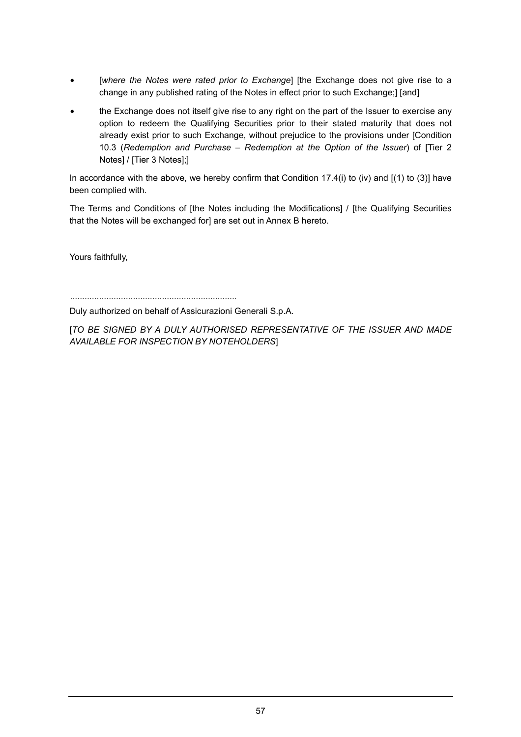- [where the Notes were rated prior to Exchange] [the Exchange does not give rise to a change in any published rating of the Notes in effect prior to such Exchange;] [and]
- the Exchange does not itself give rise to any right on the part of the Issuer to exercise any option to redeem the Qualifying Securities prior to their stated maturity that does not already exist prior to such Exchange, without prejudice to the provisions under [Condition 10.3 (*Redemption and Purchase – Redemption at the Option of the Issuer*) of [Tier 2 Notes] / [Tier 3 Notes];]

In accordance with the above, we hereby confirm that Condition 17.4(i) to (iv) and  $[(1)$  to (3)] have been complied with.

The Terms and Conditions of [the Notes including the Modifications] / [the Qualifying Securities that the Notes will be exchanged for] are set out in Annex B hereto.

Yours faithfully,

.....................................................................

Duly authorized on behalf of Assicurazioni Generali S.p.A.

[*TO BE SIGNED BY A DULY AUTHORISED REPRESENTATIVE OF THE ISSUER AND MADE AVAILABLE FOR INSPECTION BY NOTEHOLDERS*]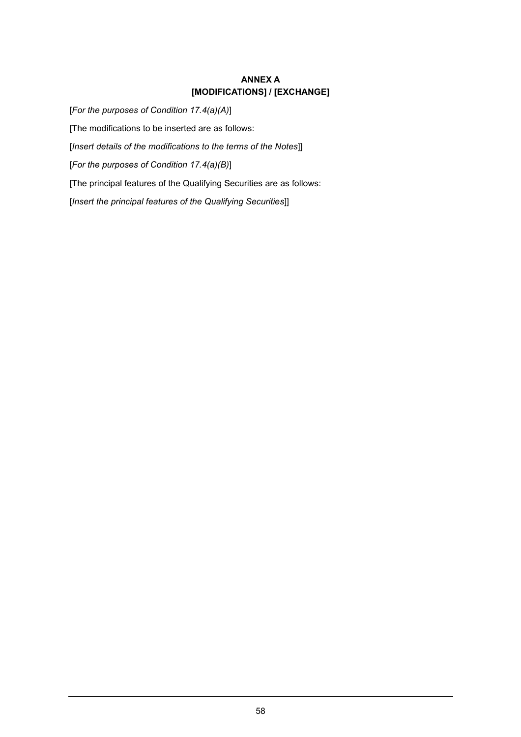# **ANNEX A [MODIFICATIONS] / [EXCHANGE]**

[*For the purposes of Condition 17.4(a)(A)*] [The modifications to be inserted are as follows: [*Insert details of the modifications to the terms of the Notes*]] [*For the purposes of Condition 17.4(a)(B)*] [The principal features of the Qualifying Securities are as follows: [*Insert the principal features of the Qualifying Securities*]]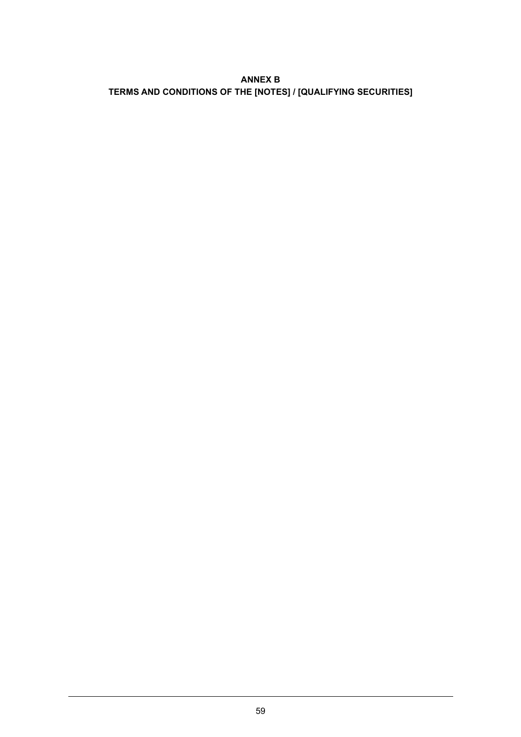# **ANNEX B TERMS AND CONDITIONS OF THE [NOTES] / [QUALIFYING SECURITIES]**